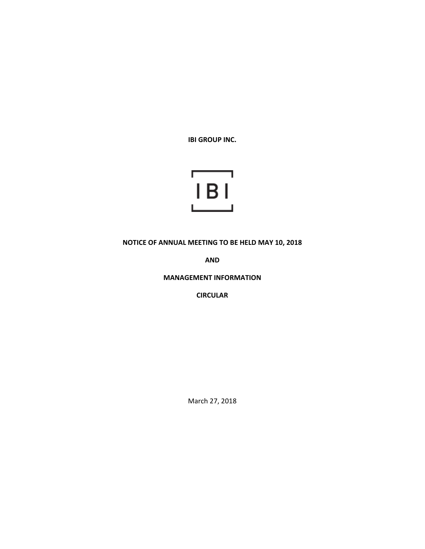**IBI GROUP INC.**



# **NOTICE OF ANNUAL MEETING TO BE HELD MAY 10, 2018**

**AND**

**MANAGEMENT INFORMATION**

**CIRCULAR**

March 27, 2018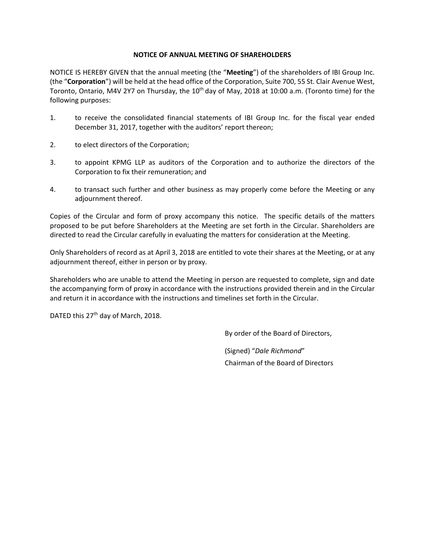# **NOTICE OF ANNUAL MEETING OF SHAREHOLDERS**

NOTICE IS HEREBY GIVEN that the annual meeting (the "**Meeting**") of the shareholders of IBI Group Inc. (the "**Corporation**") will be held at the head office of the Corporation, Suite 700, 55 St. Clair Avenue West, Toronto, Ontario, M4V 2Y7 on Thursday, the 10<sup>th</sup> day of May, 2018 at 10:00 a.m. (Toronto time) for the following purposes:

- 1. to receive the consolidated financial statements of IBI Group Inc. for the fiscal year ended December 31, 2017, together with the auditors' report thereon;
- 2. to elect directors of the Corporation;
- 3. to appoint KPMG LLP as auditors of the Corporation and to authorize the directors of the Corporation to fix their remuneration; and
- 4. to transact such further and other business as may properly come before the Meeting or any adjournment thereof.

Copies of the Circular and form of proxy accompany this notice. The specific details of the matters proposed to be put before Shareholders at the Meeting are set forth in the Circular. Shareholders are directed to read the Circular carefully in evaluating the matters for consideration at the Meeting.

Only Shareholders of record as at April 3, 2018 are entitled to vote their shares at the Meeting, or at any adjournment thereof, either in person or by proxy.

Shareholders who are unable to attend the Meeting in person are requested to complete, sign and date the accompanying form of proxy in accordance with the instructions provided therein and in the Circular and return it in accordance with the instructions and timelines set forth in the Circular.

DATED this 27<sup>th</sup> day of March, 2018.

By order of the Board of Directors,

(Signed) "*Dale Richmond*" Chairman of the Board of Directors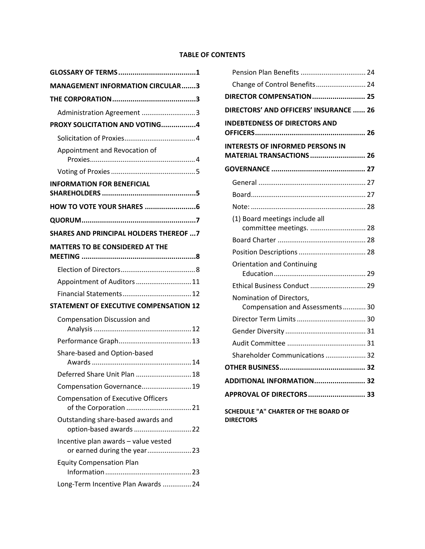# **TABLE OF CONTENTS**

| <b>MANAGEMENT INFORMATION CIRCULAR3</b>                             |
|---------------------------------------------------------------------|
|                                                                     |
| Administration Agreement 3                                          |
| PROXY SOLICITATION AND VOTING4                                      |
|                                                                     |
| Appointment and Revocation of                                       |
|                                                                     |
| <b>INFORMATION FOR BENEFICIAL</b>                                   |
| <b>HOW TO VOTE YOUR SHARES 6</b>                                    |
|                                                                     |
| <b>SHARES AND PRINCIPAL HOLDERS THEREOF  7</b>                      |
| <b>MATTERS TO BE CONSIDERED AT THE</b>                              |
|                                                                     |
| Appointment of Auditors  11                                         |
|                                                                     |
| STATEMENT OF EXECUTIVE COMPENSATION 12                              |
| <b>Compensation Discussion and</b>                                  |
|                                                                     |
| Share-based and Option-based                                        |
|                                                                     |
| Deferred Share Unit Plan  18                                        |
| Compensation Governance 19                                          |
| <b>Compensation of Executive Officers</b>                           |
| Outstanding share-based awards and<br>option-based awards 22        |
| Incentive plan awards - value vested<br>or earned during the year23 |
| <b>Equity Compensation Plan</b>                                     |

| Change of Control Benefits 24                                               |  |
|-----------------------------------------------------------------------------|--|
| DIRECTOR COMPENSATION 25                                                    |  |
| DIRECTORS' AND OFFICERS' INSURANCE  26                                      |  |
| <b>INDEBTEDNESS OF DIRECTORS AND</b>                                        |  |
| <b>INTERESTS OF INFORMED PERSONS IN</b><br><b>MATERIAL TRANSACTIONS  26</b> |  |
|                                                                             |  |
|                                                                             |  |
|                                                                             |  |
|                                                                             |  |
| (1) Board meetings include all<br>committee meetings.  28                   |  |
|                                                                             |  |
|                                                                             |  |
| <b>Orientation and Continuing</b>                                           |  |
| Ethical Business Conduct  29                                                |  |
| Nomination of Directors,<br>Compensation and Assessments 30                 |  |
|                                                                             |  |
|                                                                             |  |
|                                                                             |  |
| Shareholder Communications  32                                              |  |
|                                                                             |  |
| <b>ADDITIONAL INFORMATION 32</b>                                            |  |
| APPROVAL OF DIRECTORS  33                                                   |  |
| SCHEDULE "A" CHARTER OF THE BOARD OF<br><b>DIRECTORS</b>                    |  |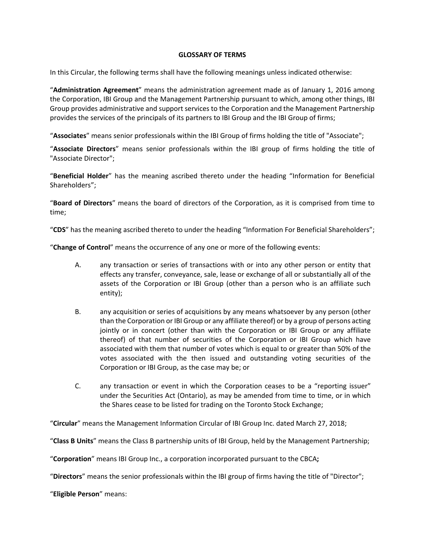#### **GLOSSARY OF TERMS**

In this Circular, the following terms shall have the following meanings unless indicated otherwise:

"**Administration Agreement**" means the administration agreement made as of January 1, 2016 among the Corporation, IBI Group and the Management Partnership pursuant to which, among other things, IBI Group provides administrative and support services to the Corporation and the Management Partnership provides the services of the principals of its partners to IBI Group and the IBI Group of firms;

"**Associates**" means senior professionals within the IBI Group of firms holding the title of "Associate";

"**Associate Directors**" means senior professionals within the IBI group of firms holding the title of "Associate Director";

"**Beneficial Holder**" has the meaning ascribed thereto under the heading "Information for Beneficial Shareholders";

"**Board of Directors**" means the board of directors of the Corporation, as it is comprised from time to time;

"**CDS**" has the meaning ascribed thereto to under the heading "Information For Beneficial Shareholders";

"**Change of Control**" means the occurrence of any one or more of the following events:

- A. any transaction or series of transactions with or into any other person or entity that effects any transfer, conveyance, sale, lease or exchange of all or substantially all of the assets of the Corporation or IBI Group (other than a person who is an affiliate such entity);
- B. any acquisition or series of acquisitions by any means whatsoever by any person (other than the Corporation or IBI Group or any affiliate thereof) or by a group of persons acting jointly or in concert (other than with the Corporation or IBI Group or any affiliate thereof) of that number of securities of the Corporation or IBI Group which have associated with them that number of votes which is equal to or greater than 50% of the votes associated with the then issued and outstanding voting securities of the Corporation or IBI Group, as the case may be; or
- C. any transaction or event in which the Corporation ceases to be a "reporting issuer" under the Securities Act (Ontario), as may be amended from time to time, or in which the Shares cease to be listed for trading on the Toronto Stock Exchange;

"**Circular**" means the Management Information Circular of IBI Group Inc. dated March 27, 2018;

"**Class B Units**" means the Class B partnership units of IBI Group, held by the Management Partnership;

"**Corporation**" means IBI Group Inc., a corporation incorporated pursuant to the CBCA**;**

"**Directors**" means the senior professionals within the IBI group of firms having the title of "Director";

"**Eligible Person**" means: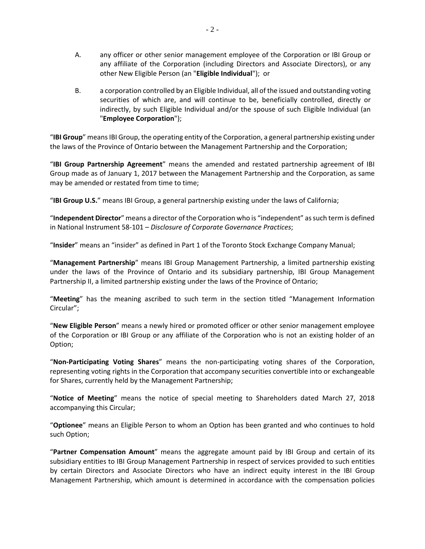- A. any officer or other senior management employee of the Corporation or IBI Group or any affiliate of the Corporation (including Directors and Associate Directors), or any other New Eligible Person (an "**Eligible Individual**"); or
- B. a corporation controlled by an Eligible Individual, all of the issued and outstanding voting securities of which are, and will continue to be, beneficially controlled, directly or indirectly, by such Eligible Individual and/or the spouse of such Eligible Individual (an "**Employee Corporation**");

"**IBI Group**" means IBI Group, the operating entity of the Corporation, a general partnership existing under the laws of the Province of Ontario between the Management Partnership and the Corporation;

"**IBI Group Partnership Agreement**" means the amended and restated partnership agreement of IBI Group made as of January 1, 2017 between the Management Partnership and the Corporation, as same may be amended or restated from time to time;

"**IBI Group U.S.**" means IBI Group, a general partnership existing under the laws of California;

"**Independent Director**" means a director of the Corporation who is "independent" as such term is defined in National Instrument 58-101 – *Disclosure of Corporate Governance Practices*;

"**Insider**" means an "insider" as defined in Part 1 of the Toronto Stock Exchange Company Manual;

"**Management Partnership**" means IBI Group Management Partnership, a limited partnership existing under the laws of the Province of Ontario and its subsidiary partnership, IBI Group Management Partnership II, a limited partnership existing under the laws of the Province of Ontario;

"**Meeting**" has the meaning ascribed to such term in the section titled "Management Information Circular";

"**New Eligible Person**" means a newly hired or promoted officer or other senior management employee of the Corporation or IBI Group or any affiliate of the Corporation who is not an existing holder of an Option;

"**Non-Participating Voting Shares**" means the non-participating voting shares of the Corporation, representing voting rights in the Corporation that accompany securities convertible into or exchangeable for Shares, currently held by the Management Partnership;

"**Notice of Meeting**" means the notice of special meeting to Shareholders dated March 27, 2018 accompanying this Circular;

"**Optionee**" means an Eligible Person to whom an Option has been granted and who continues to hold such Option;

"**Partner Compensation Amount**" means the aggregate amount paid by IBI Group and certain of its subsidiary entities to IBI Group Management Partnership in respect of services provided to such entities by certain Directors and Associate Directors who have an indirect equity interest in the IBI Group Management Partnership, which amount is determined in accordance with the compensation policies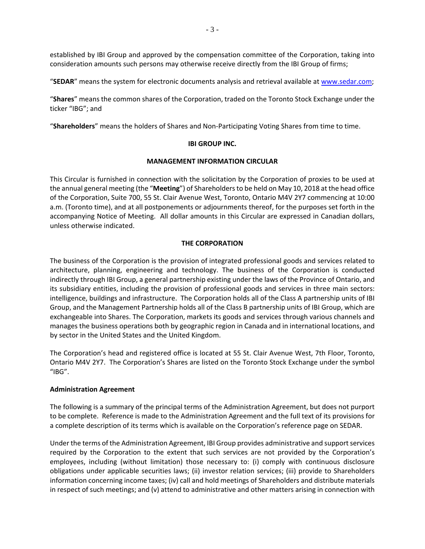established by IBI Group and approved by the compensation committee of the Corporation, taking into consideration amounts such persons may otherwise receive directly from the IBI Group of firms;

"**SEDAR**" means the system for electronic documents analysis and retrieval available at [www.sedar.com;](http://www.sedar.com/)

"**Shares**" means the common shares of the Corporation, traded on the Toronto Stock Exchange under the ticker "IBG"; and

"**Shareholders**" means the holders of Shares and Non-Participating Voting Shares from time to time.

#### **IBI GROUP INC.**

#### **MANAGEMENT INFORMATION CIRCULAR**

This Circular is furnished in connection with the solicitation by the Corporation of proxies to be used at the annual general meeting (the "**Meeting**") of Shareholders to be held on May 10, 2018 at the head office of the Corporation, Suite 700, 55 St. Clair Avenue West, Toronto, Ontario M4V 2Y7 commencing at 10:00 a.m. (Toronto time), and at all postponements or adjournments thereof, for the purposes set forth in the accompanying Notice of Meeting. All dollar amounts in this Circular are expressed in Canadian dollars, unless otherwise indicated.

# **THE CORPORATION**

The business of the Corporation is the provision of integrated professional goods and services related to architecture, planning, engineering and technology. The business of the Corporation is conducted indirectly through IBI Group, a general partnership existing under the laws of the Province of Ontario, and its subsidiary entities, including the provision of professional goods and services in three main sectors: intelligence, buildings and infrastructure. The Corporation holds all of the Class A partnership units of IBI Group, and the Management Partnership holds all of the Class B partnership units of IBI Group, which are exchangeable into Shares. The Corporation, markets its goods and services through various channels and manages the business operations both by geographic region in Canada and in international locations, and by sector in the United States and the United Kingdom.

The Corporation's head and registered office is located at 55 St. Clair Avenue West, 7th Floor, Toronto, Ontario M4V 2Y7. The Corporation's Shares are listed on the Toronto Stock Exchange under the symbol  $"$ IBG".

# **Administration Agreement**

The following is a summary of the principal terms of the Administration Agreement, but does not purport to be complete. Reference is made to the Administration Agreement and the full text of its provisions for a complete description of its terms which is available on the Corporation's reference page on SEDAR.

Under the terms of the Administration Agreement, IBI Group provides administrative and support services required by the Corporation to the extent that such services are not provided by the Corporation's employees, including (without limitation) those necessary to: (i) comply with continuous disclosure obligations under applicable securities laws; (ii) investor relation services; (iii) provide to Shareholders information concerning income taxes; (iv) call and hold meetings of Shareholders and distribute materials in respect of such meetings; and (v) attend to administrative and other matters arising in connection with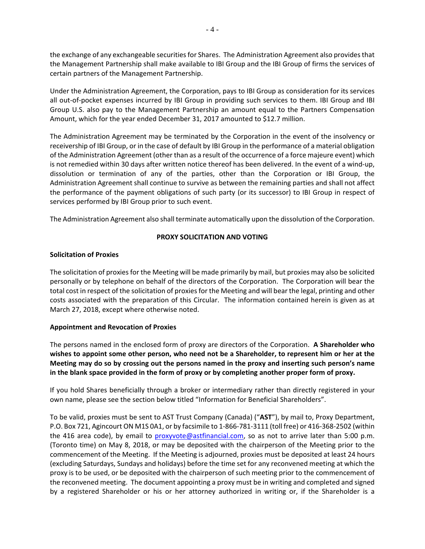the exchange of any exchangeable securities for Shares. The Administration Agreement also provides that the Management Partnership shall make available to IBI Group and the IBI Group of firms the services of certain partners of the Management Partnership.

Under the Administration Agreement, the Corporation, pays to IBI Group as consideration for its services all out-of-pocket expenses incurred by IBI Group in providing such services to them. IBI Group and IBI Group U.S. also pay to the Management Partnership an amount equal to the Partners Compensation Amount, which for the year ended December 31, 2017 amounted to \$12.7 million.

The Administration Agreement may be terminated by the Corporation in the event of the insolvency or receivership of IBI Group, or in the case of default by IBI Group in the performance of a material obligation of the Administration Agreement (other than as a result of the occurrence of a force majeure event) which is not remedied within 30 days after written notice thereof has been delivered. In the event of a wind-up, dissolution or termination of any of the parties, other than the Corporation or IBI Group, the Administration Agreement shall continue to survive as between the remaining parties and shall not affect the performance of the payment obligations of such party (or its successor) to IBI Group in respect of services performed by IBI Group prior to such event.

The Administration Agreement also shall terminate automatically upon the dissolution of the Corporation.

# **PROXY SOLICITATION AND VOTING**

# **Solicitation of Proxies**

The solicitation of proxies for the Meeting will be made primarily by mail, but proxies may also be solicited personally or by telephone on behalf of the directors of the Corporation. The Corporation will bear the total cost in respect of the solicitation of proxies for the Meeting and will bear the legal, printing and other costs associated with the preparation of this Circular. The information contained herein is given as at March 27, 2018, except where otherwise noted.

# **Appointment and Revocation of Proxies**

The persons named in the enclosed form of proxy are directors of the Corporation. **A Shareholder who wishes to appoint some other person, who need not be a Shareholder, to represent him or her at the Meeting may do so by crossing out the persons named in the proxy and inserting such person's name in the blank space provided in the form of proxy or by completing another proper form of proxy.**

If you hold Shares beneficially through a broker or intermediary rather than directly registered in your own name, please see the section below titled "Information for Beneficial Shareholders".

To be valid, proxies must be sent to AST Trust Company (Canada) ("**AST**"), by mail to, Proxy Department, P.O. Box 721, Agincourt ON M1S 0A1, or by facsimile to 1-866-781-3111 (toll free) or 416-368-2502 (within the 416 area code), by email to [proxyvote@astfinancial.com,](mailto:proxyvote@astfinancial.com) so as not to arrive later than 5:00 p.m. (Toronto time) on May 8, 2018, or may be deposited with the chairperson of the Meeting prior to the commencement of the Meeting. If the Meeting is adjourned, proxies must be deposited at least 24 hours (excluding Saturdays, Sundays and holidays) before the time set for any reconvened meeting at which the proxy is to be used, or be deposited with the chairperson of such meeting prior to the commencement of the reconvened meeting. The document appointing a proxy must be in writing and completed and signed by a registered Shareholder or his or her attorney authorized in writing or, if the Shareholder is a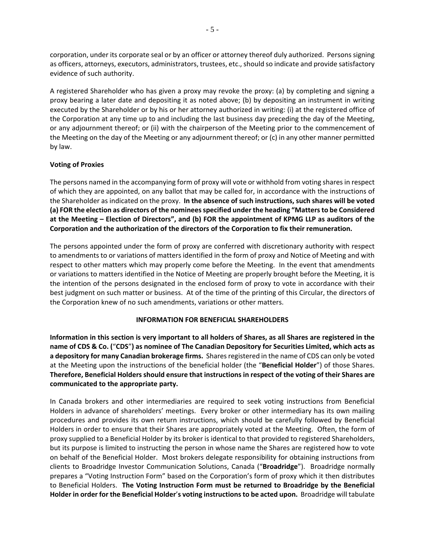corporation, under its corporate seal or by an officer or attorney thereof duly authorized. Persons signing as officers, attorneys, executors, administrators, trustees, etc., should so indicate and provide satisfactory evidence of such authority.

A registered Shareholder who has given a proxy may revoke the proxy: (a) by completing and signing a proxy bearing a later date and depositing it as noted above; (b) by depositing an instrument in writing executed by the Shareholder or by his or her attorney authorized in writing: (i) at the registered office of the Corporation at any time up to and including the last business day preceding the day of the Meeting, or any adjournment thereof; or (ii) with the chairperson of the Meeting prior to the commencement of the Meeting on the day of the Meeting or any adjournment thereof; or (c) in any other manner permitted by law.

# **Voting of Proxies**

The persons named in the accompanying form of proxy will vote or withhold from voting shares in respect of which they are appointed, on any ballot that may be called for, in accordance with the instructions of the Shareholder as indicated on the proxy. **In the absence of such instructions, such shares will be voted (a) FOR the election as directors of the nominees specified under the heading "Matters to be Considered at the Meeting – Election of Directors", and (b) FOR the appointment of KPMG LLP as auditors of the Corporation and the authorization of the directors of the Corporation to fix their remuneration.**

The persons appointed under the form of proxy are conferred with discretionary authority with respect to amendments to or variations of matters identified in the form of proxy and Notice of Meeting and with respect to other matters which may properly come before the Meeting. In the event that amendments or variations to matters identified in the Notice of Meeting are properly brought before the Meeting, it is the intention of the persons designated in the enclosed form of proxy to vote in accordance with their best judgment on such matter or business. At of the time of the printing of this Circular, the directors of the Corporation knew of no such amendments, variations or other matters.

# **INFORMATION FOR BENEFICIAL SHAREHOLDERS**

**Information in this section is very important to all holders of Shares, as all Shares are registered in the name of CDS & Co. (**"**CDS**"**) as nominee of The Canadian Depository for Securities Limited, which acts as a depository for many Canadian brokerage firms.** Shares registered in the name of CDS can only be voted at the Meeting upon the instructions of the beneficial holder (the "**Beneficial Holder**") of those Shares. **Therefore, Beneficial Holders should ensure that instructions in respect of the voting of their Shares are communicated to the appropriate party.**

In Canada brokers and other intermediaries are required to seek voting instructions from Beneficial Holders in advance of shareholders' meetings. Every broker or other intermediary has its own mailing procedures and provides its own return instructions, which should be carefully followed by Beneficial Holders in order to ensure that their Shares are appropriately voted at the Meeting. Often, the form of proxy supplied to a Beneficial Holder by its broker is identical to that provided to registered Shareholders, but its purpose is limited to instructing the person in whose name the Shares are registered how to vote on behalf of the Beneficial Holder. Most brokers delegate responsibility for obtaining instructions from clients to Broadridge Investor Communication Solutions, Canada ("**Broadridge**"). Broadridge normally prepares a "Voting Instruction Form" based on the Corporation's form of proxy which it then distributes to Beneficial Holders. **The Voting Instruction Form must be returned to Broadridge by the Beneficial Holder in order for the Beneficial Holder**'**s voting instructions to be acted upon.** Broadridge will tabulate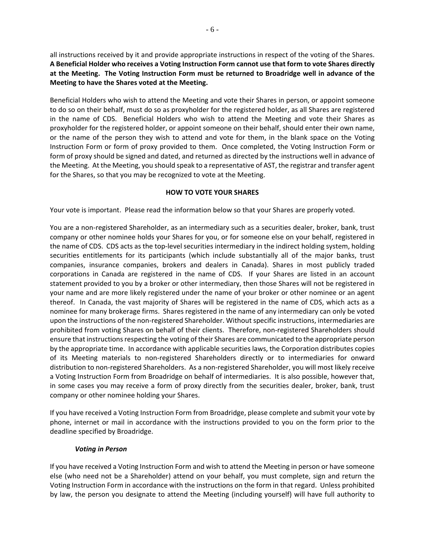all instructions received by it and provide appropriate instructions in respect of the voting of the Shares. **A Beneficial Holder who receives a Voting Instruction Form cannot use that form to vote Shares directly at the Meeting. The Voting Instruction Form must be returned to Broadridge well in advance of the Meeting to have the Shares voted at the Meeting.**

Beneficial Holders who wish to attend the Meeting and vote their Shares in person, or appoint someone to do so on their behalf, must do so as proxyholder for the registered holder, as all Shares are registered in the name of CDS. Beneficial Holders who wish to attend the Meeting and vote their Shares as proxyholder for the registered holder, or appoint someone on their behalf, should enter their own name, or the name of the person they wish to attend and vote for them, in the blank space on the Voting Instruction Form or form of proxy provided to them. Once completed, the Voting Instruction Form or form of proxy should be signed and dated, and returned as directed by the instructions well in advance of the Meeting. At the Meeting, you should speak to a representative of AST, the registrar and transfer agent for the Shares, so that you may be recognized to vote at the Meeting.

# **HOW TO VOTE YOUR SHARES**

Your vote is important. Please read the information below so that your Shares are properly voted.

You are a non-registered Shareholder, as an intermediary such as a securities dealer, broker, bank, trust company or other nominee holds your Shares for you, or for someone else on your behalf, registered in the name of CDS. CDS acts as the top-level securities intermediary in the indirect holding system, holding securities entitlements for its participants (which include substantially all of the major banks, trust companies, insurance companies, brokers and dealers in Canada). Shares in most publicly traded corporations in Canada are registered in the name of CDS. If your Shares are listed in an account statement provided to you by a broker or other intermediary, then those Shares will not be registered in your name and are more likely registered under the name of your broker or other nominee or an agent thereof. In Canada, the vast majority of Shares will be registered in the name of CDS, which acts as a nominee for many brokerage firms. Shares registered in the name of any intermediary can only be voted upon the instructions of the non-registered Shareholder. Without specific instructions, intermediaries are prohibited from voting Shares on behalf of their clients. Therefore, non-registered Shareholders should ensure that instructions respecting the voting of their Shares are communicated to the appropriate person by the appropriate time. In accordance with applicable securities laws, the Corporation distributes copies of its Meeting materials to non-registered Shareholders directly or to intermediaries for onward distribution to non-registered Shareholders. As a non-registered Shareholder, you will most likely receive a Voting Instruction Form from Broadridge on behalf of intermediaries. It is also possible, however that, in some cases you may receive a form of proxy directly from the securities dealer, broker, bank, trust company or other nominee holding your Shares.

If you have received a Voting Instruction Form from Broadridge, please complete and submit your vote by phone, internet or mail in accordance with the instructions provided to you on the form prior to the deadline specified by Broadridge.

# *Voting in Person*

If you have received a Voting Instruction Form and wish to attend the Meeting in person or have someone else (who need not be a Shareholder) attend on your behalf, you must complete, sign and return the Voting Instruction Form in accordance with the instructions on the form in that regard. Unless prohibited by law, the person you designate to attend the Meeting (including yourself) will have full authority to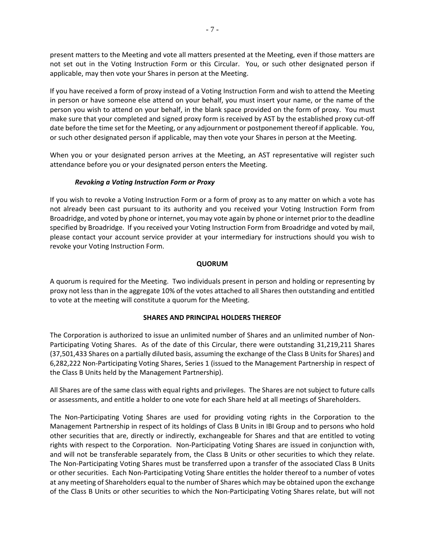present matters to the Meeting and vote all matters presented at the Meeting, even if those matters are not set out in the Voting Instruction Form or this Circular. You, or such other designated person if applicable, may then vote your Shares in person at the Meeting.

If you have received a form of proxy instead of a Voting Instruction Form and wish to attend the Meeting in person or have someone else attend on your behalf, you must insert your name, or the name of the person you wish to attend on your behalf, in the blank space provided on the form of proxy. You must make sure that your completed and signed proxy form is received by AST by the established proxy cut-off date before the time set for the Meeting, or any adjournment or postponement thereof if applicable. You, or such other designated person if applicable, may then vote your Shares in person at the Meeting.

When you or your designated person arrives at the Meeting, an AST representative will register such attendance before you or your designated person enters the Meeting.

# *Revoking a Voting Instruction Form or Proxy*

If you wish to revoke a Voting Instruction Form or a form of proxy as to any matter on which a vote has not already been cast pursuant to its authority and you received your Voting Instruction Form from Broadridge, and voted by phone or internet, you may vote again by phone or internet prior to the deadline specified by Broadridge. If you received your Voting Instruction Form from Broadridge and voted by mail, please contact your account service provider at your intermediary for instructions should you wish to revoke your Voting Instruction Form.

# **QUORUM**

A quorum is required for the Meeting. Two individuals present in person and holding or representing by proxy not less than in the aggregate 10% of the votes attached to all Shares then outstanding and entitled to vote at the meeting will constitute a quorum for the Meeting.

# **SHARES AND PRINCIPAL HOLDERS THEREOF**

The Corporation is authorized to issue an unlimited number of Shares and an unlimited number of Non-Participating Voting Shares. As of the date of this Circular, there were outstanding 31,219,211 Shares (37,501,433 Shares on a partially diluted basis, assuming the exchange of the Class B Units for Shares) and 6,282,222 Non-Participating Voting Shares, Series 1 (issued to the Management Partnership in respect of the Class B Units held by the Management Partnership).

All Shares are of the same class with equal rights and privileges. The Shares are not subject to future calls or assessments, and entitle a holder to one vote for each Share held at all meetings of Shareholders.

The Non-Participating Voting Shares are used for providing voting rights in the Corporation to the Management Partnership in respect of its holdings of Class B Units in IBI Group and to persons who hold other securities that are, directly or indirectly, exchangeable for Shares and that are entitled to voting rights with respect to the Corporation. Non-Participating Voting Shares are issued in conjunction with, and will not be transferable separately from, the Class B Units or other securities to which they relate. The Non-Participating Voting Shares must be transferred upon a transfer of the associated Class B Units or other securities. Each Non-Participating Voting Share entitles the holder thereof to a number of votes at any meeting of Shareholders equal to the number of Shares which may be obtained upon the exchange of the Class B Units or other securities to which the Non-Participating Voting Shares relate, but will not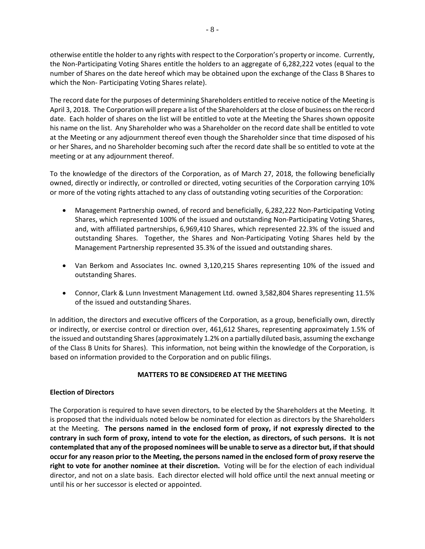otherwise entitle the holder to any rights with respect to the Corporation's property or income. Currently, the Non-Participating Voting Shares entitle the holders to an aggregate of 6,282,222 votes (equal to the number of Shares on the date hereof which may be obtained upon the exchange of the Class B Shares to which the Non- Participating Voting Shares relate).

The record date for the purposes of determining Shareholders entitled to receive notice of the Meeting is April 3, 2018. The Corporation will prepare a list of the Shareholders at the close of business on the record date. Each holder of shares on the list will be entitled to vote at the Meeting the Shares shown opposite his name on the list. Any Shareholder who was a Shareholder on the record date shall be entitled to vote at the Meeting or any adjournment thereof even though the Shareholder since that time disposed of his or her Shares, and no Shareholder becoming such after the record date shall be so entitled to vote at the meeting or at any adjournment thereof.

To the knowledge of the directors of the Corporation, as of March 27, 2018, the following beneficially owned, directly or indirectly, or controlled or directed, voting securities of the Corporation carrying 10% or more of the voting rights attached to any class of outstanding voting securities of the Corporation:

- Management Partnership owned, of record and beneficially, 6,282,222 Non-Participating Voting Shares, which represented 100% of the issued and outstanding Non-Participating Voting Shares, and, with affiliated partnerships, 6,969,410 Shares, which represented 22.3% of the issued and outstanding Shares. Together, the Shares and Non-Participating Voting Shares held by the Management Partnership represented 35.3% of the issued and outstanding shares.
- Van Berkom and Associates Inc. owned 3,120,215 Shares representing 10% of the issued and outstanding Shares.
- Connor, Clark & Lunn Investment Management Ltd. owned 3,582,804 Shares representing 11.5% of the issued and outstanding Shares.

In addition, the directors and executive officers of the Corporation, as a group, beneficially own, directly or indirectly, or exercise control or direction over, 461,612 Shares, representing approximately 1.5% of the issued and outstanding Shares (approximately 1.2% on a partially diluted basis, assuming the exchange of the Class B Units for Shares). This information, not being within the knowledge of the Corporation, is based on information provided to the Corporation and on public filings.

# **MATTERS TO BE CONSIDERED AT THE MEETING**

# **Election of Directors**

The Corporation is required to have seven directors, to be elected by the Shareholders at the Meeting. It is proposed that the individuals noted below be nominated for election as directors by the Shareholders at the Meeting. **The persons named in the enclosed form of proxy, if not expressly directed to the contrary in such form of proxy, intend to vote for the election, as directors, of such persons. It is not contemplated that any of the proposed nominees will be unable to serve as a director but, if that should occur for any reason prior to the Meeting, the persons named in the enclosed form of proxy reserve the right to vote for another nominee at their discretion.** Voting will be for the election of each individual director, and not on a slate basis. Each director elected will hold office until the next annual meeting or until his or her successor is elected or appointed.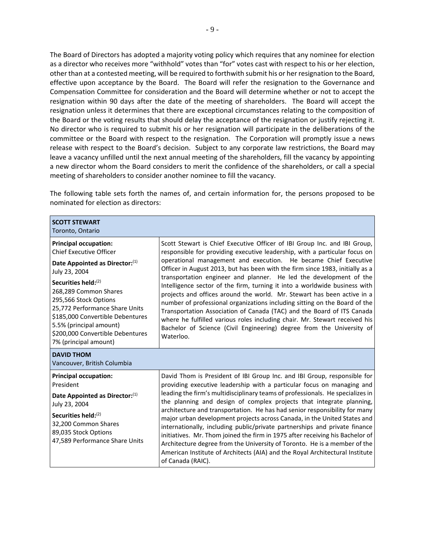The Board of Directors has adopted a majority voting policy which requires that any nominee for election as a director who receives more "withhold" votes than "for" votes cast with respect to his or her election, other than at a contested meeting, will be required to forthwith submit his or her resignation to the Board, effective upon acceptance by the Board. The Board will refer the resignation to the Governance and Compensation Committee for consideration and the Board will determine whether or not to accept the resignation within 90 days after the date of the meeting of shareholders. The Board will accept the resignation unless it determines that there are exceptional circumstances relating to the composition of the Board or the voting results that should delay the acceptance of the resignation or justify rejecting it. No director who is required to submit his or her resignation will participate in the deliberations of the committee or the Board with respect to the resignation. The Corporation will promptly issue a news release with respect to the Board's decision. Subject to any corporate law restrictions, the Board may leave a vacancy unfilled until the next annual meeting of the shareholders, fill the vacancy by appointing a new director whom the Board considers to merit the confidence of the shareholders, or call a special meeting of shareholders to consider another nominee to fill the vacancy.

The following table sets forth the names of, and certain information for, the persons proposed to be nominated for election as directors:

| <b>SCOTT STEWART</b><br>Toronto, Ontario                                                                                                                                                                                                                                                                                                                    |                                                                                                                                                                                                                                                                                                                                                                                                                                                                                                                                                                                                                                                                                                                                                                                                                                                                        |
|-------------------------------------------------------------------------------------------------------------------------------------------------------------------------------------------------------------------------------------------------------------------------------------------------------------------------------------------------------------|------------------------------------------------------------------------------------------------------------------------------------------------------------------------------------------------------------------------------------------------------------------------------------------------------------------------------------------------------------------------------------------------------------------------------------------------------------------------------------------------------------------------------------------------------------------------------------------------------------------------------------------------------------------------------------------------------------------------------------------------------------------------------------------------------------------------------------------------------------------------|
| <b>Principal occupation:</b><br><b>Chief Executive Officer</b><br>Date Appointed as Director:(1)<br>July 23, 2004<br>Securities held: $(2)$<br>268,289 Common Shares<br>295,566 Stock Options<br>25,772 Performance Share Units<br>\$185,000 Convertible Debentures<br>5.5% (principal amount)<br>\$200,000 Convertible Debentures<br>7% (principal amount) | Scott Stewart is Chief Executive Officer of IBI Group Inc. and IBI Group,<br>responsible for providing executive leadership, with a particular focus on<br>operational management and execution. He became Chief Executive<br>Officer in August 2013, but has been with the firm since 1983, initially as a<br>transportation engineer and planner. He led the development of the<br>Intelligence sector of the firm, turning it into a worldwide business with<br>projects and offices around the world. Mr. Stewart has been active in a<br>number of professional organizations including sitting on the Board of the<br>Transportation Association of Canada (TAC) and the Board of ITS Canada<br>where he fulfilled various roles including chair. Mr. Stewart received his<br>Bachelor of Science (Civil Engineering) degree from the University of<br>Waterloo. |
| <b>DAVID THOM</b><br>Vancouver, British Columbia                                                                                                                                                                                                                                                                                                            |                                                                                                                                                                                                                                                                                                                                                                                                                                                                                                                                                                                                                                                                                                                                                                                                                                                                        |
| <b>Principal occupation:</b><br>President<br>Date Appointed as Director:(1)<br>July 23, 2004<br>Securities held: <sup>(2)</sup><br>32,200 Common Shares<br>89,035 Stock Options<br>47,589 Performance Share Units                                                                                                                                           | David Thom is President of IBI Group Inc. and IBI Group, responsible for<br>providing executive leadership with a particular focus on managing and<br>leading the firm's multidisciplinary teams of professionals. He specializes in<br>the planning and design of complex projects that integrate planning,<br>architecture and transportation. He has had senior responsibility for many<br>major urban development projects across Canada, in the United States and<br>internationally, including public/private partnerships and private finance<br>initiatives. Mr. Thom joined the firm in 1975 after receiving his Bachelor of<br>Architecture degree from the University of Toronto. He is a member of the<br>American Institute of Architects (AIA) and the Royal Architectural Institute<br>of Canada (RAIC).                                                |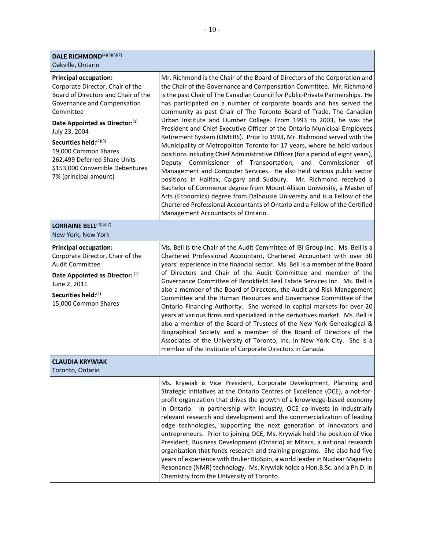# **DALE RICHMOND**<sup>(4)(5)(6)(7)</sup> Oakville, Ontario

| <b>Principal occupation:</b><br>Corporate Director, Chair of the<br>Board of Directors and Chair of the<br>Governance and Compensation<br>Committee<br>Date Appointed as Director:(1)<br>July 23, 2004<br>Securities held:(2)(3)<br>19,000 Common Shares<br>262,499 Deferred Share Units<br>\$153,000 Convertible Debentures<br>7% (principal amount) | Mr. Richmond is the Chair of the Board of Directors of the Corporation and<br>the Chair of the Governance and Compensation Committee. Mr. Richmond<br>is the past Chair of The Canadian Council for Public-Private Partnerships. He<br>has participated on a number of corporate boards and has served the<br>community as past Chair of The Toronto Board of Trade, The Canadian<br>Urban Institute and Humber College. From 1993 to 2003, he was the<br>President and Chief Executive Officer of the Ontario Municipal Employees<br>Retirement System (OMERS). Prior to 1993, Mr. Richmond served with the<br>Municipality of Metropolitan Toronto for 17 years, where he held various<br>positions including Chief Administrative Officer (for a period of eight years),<br>Deputy Commissioner of Transportation, and Commissioner<br>of<br>Management and Computer Services. He also held various public sector<br>positions in Halifax, Calgary and Sudbury. Mr. Richmond received a<br>Bachelor of Commerce degree from Mount Allison University, a Master of |
|-------------------------------------------------------------------------------------------------------------------------------------------------------------------------------------------------------------------------------------------------------------------------------------------------------------------------------------------------------|----------------------------------------------------------------------------------------------------------------------------------------------------------------------------------------------------------------------------------------------------------------------------------------------------------------------------------------------------------------------------------------------------------------------------------------------------------------------------------------------------------------------------------------------------------------------------------------------------------------------------------------------------------------------------------------------------------------------------------------------------------------------------------------------------------------------------------------------------------------------------------------------------------------------------------------------------------------------------------------------------------------------------------------------------------------------|
|                                                                                                                                                                                                                                                                                                                                                       | Arts (Economics) degree from Dalhousie University and is a Fellow of the<br>Chartered Professional Accountants of Ontario and a Fellow of the Certified<br>Management Accountants of Ontario.                                                                                                                                                                                                                                                                                                                                                                                                                                                                                                                                                                                                                                                                                                                                                                                                                                                                        |
| <b>LORRAINE BELL(4)(5)(7)</b><br>New York, New York                                                                                                                                                                                                                                                                                                   |                                                                                                                                                                                                                                                                                                                                                                                                                                                                                                                                                                                                                                                                                                                                                                                                                                                                                                                                                                                                                                                                      |
| <b>Principal occupation:</b><br>Corporate Director, Chair of the<br><b>Audit Committee</b><br>Date Appointed as Director: (1)<br>June 2, 2011<br>Securities held: <sup>(2)</sup><br>15,000 Common Shares                                                                                                                                              | Ms. Bell is the Chair of the Audit Committee of IBI Group Inc. Ms. Bell is a<br>Chartered Professional Accountant, Chartered Accountant with over 30<br>years' experience in the financial sector. Ms. Bell is a member of the Board<br>of Directors and Chair of the Audit Committee and member of the<br>Governance Committee of Brookfield Real Estate Services Inc. Ms. Bell is<br>also a member of the Board of Directors, the Audit and Risk Management<br>Committee and the Human Resources and Governance Committee of the<br>Ontario Financing Authority. She worked in capital markets for over 20<br>years at various firms and specialized in the derivatives market. Ms. Bell is<br>also a member of the Board of Trustees of the New York Genealogical &<br>Biographical Society and a member of the Board of Directors of the<br>Associates of the University of Toronto, Inc. in New York City. She is a<br>member of the Institute of Corporate Directors in Canada.                                                                                |
| <b>CLAUDIA KRYWIAK</b><br>Toronto, Ontario                                                                                                                                                                                                                                                                                                            |                                                                                                                                                                                                                                                                                                                                                                                                                                                                                                                                                                                                                                                                                                                                                                                                                                                                                                                                                                                                                                                                      |
|                                                                                                                                                                                                                                                                                                                                                       | Ms. Krywiak is Vice President, Corporate Development, Planning and<br>Strategic Initiatives at the Ontario Centres of Excellence (OCE), a not-for-<br>profit organization that drives the growth of a knowledge-based economy<br>in Ontario. In partnership with industry, OCE co-invests in industrially<br>relevant research and development and the commercialization of leading<br>edge technologies, supporting the next generation of innovators and<br>entrepreneurs. Prior to joining OCE, Ms. Krywiak held the position of Vice<br>President, Business Development (Ontario) at Mitacs, a national research<br>organization that funds research and training programs. She also had five<br>years of experience with Bruker BioSpin, a world leader in Nuclear Magnetic<br>Resonance (NMR) technology. Ms. Krywiak holds a Hon.B.Sc. and a Ph.D. in<br>Chemistry from the University of Toronto.                                                                                                                                                            |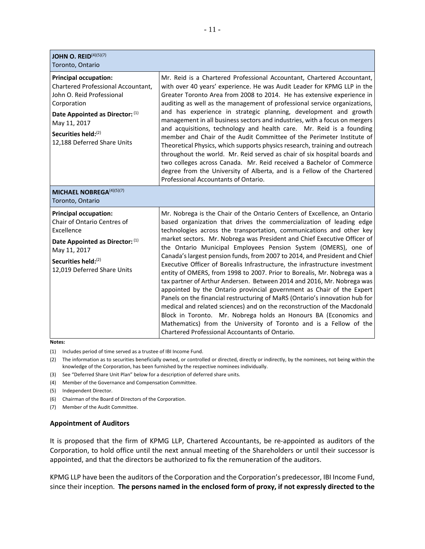**JOHN O. REID<sup>(4)(5)(7)</sup>** 

| Toronto, Ontario                                                                                                                                                                                                                    |                                                                                                                                                                                                                                                                                                                                                                                                                                                                                                                                                                                                                                                                                                                                                                                                                                                                                                                                                                                                                                                                                                                            |
|-------------------------------------------------------------------------------------------------------------------------------------------------------------------------------------------------------------------------------------|----------------------------------------------------------------------------------------------------------------------------------------------------------------------------------------------------------------------------------------------------------------------------------------------------------------------------------------------------------------------------------------------------------------------------------------------------------------------------------------------------------------------------------------------------------------------------------------------------------------------------------------------------------------------------------------------------------------------------------------------------------------------------------------------------------------------------------------------------------------------------------------------------------------------------------------------------------------------------------------------------------------------------------------------------------------------------------------------------------------------------|
| <b>Principal occupation:</b><br>Chartered Professional Accountant,<br>John O. Reid Professional<br>Corporation<br>Date Appointed as Director: (1)<br>May 11, 2017<br>Securities held: <sup>(2)</sup><br>12,188 Deferred Share Units | Mr. Reid is a Chartered Professional Accountant, Chartered Accountant,<br>with over 40 years' experience. He was Audit Leader for KPMG LLP in the<br>Greater Toronto Area from 2008 to 2014. He has extensive experience in<br>auditing as well as the management of professional service organizations,<br>and has experience in strategic planning, development and growth<br>management in all business sectors and industries, with a focus on mergers<br>and acquisitions, technology and health care. Mr. Reid is a founding<br>member and Chair of the Audit Committee of the Perimeter Institute of<br>Theoretical Physics, which supports physics research, training and outreach<br>throughout the world. Mr. Reid served as chair of six hospital boards and<br>two colleges across Canada. Mr. Reid received a Bachelor of Commerce<br>degree from the University of Alberta, and is a Fellow of the Chartered<br>Professional Accountants of Ontario.                                                                                                                                                         |
| MICHAEL NOBREGA <sup>(4)(5)(7)</sup><br>Toronto, Ontario                                                                                                                                                                            |                                                                                                                                                                                                                                                                                                                                                                                                                                                                                                                                                                                                                                                                                                                                                                                                                                                                                                                                                                                                                                                                                                                            |
| <b>Principal occupation:</b><br>Chair of Ontario Centres of<br>Excellence<br>Date Appointed as Director: (1)<br>May 11, 2017<br>Securities held: <sup>(2)</sup><br>12,019 Deferred Share Units                                      | Mr. Nobrega is the Chair of the Ontario Centers of Excellence, an Ontario<br>based organization that drives the commercialization of leading edge<br>technologies across the transportation, communications and other key<br>market sectors. Mr. Nobrega was President and Chief Executive Officer of<br>the Ontario Municipal Employees Pension System (OMERS), one of<br>Canada's largest pension funds, from 2007 to 2014, and President and Chief<br>Executive Officer of Borealis Infrastructure, the infrastructure investment<br>entity of OMERS, from 1998 to 2007. Prior to Borealis, Mr. Nobrega was a<br>tax partner of Arthur Andersen. Between 2014 and 2016, Mr. Nobrega was<br>appointed by the Ontario provincial government as Chair of the Expert<br>Panels on the financial restructuring of MaRS (Ontario's innovation hub for<br>medical and related sciences) and on the reconstruction of the Macdonald<br>Block in Toronto. Mr. Nobrega holds an Honours BA (Economics and<br>Mathematics) from the University of Toronto and is a Fellow of the<br>Chartered Professional Accountants of Ontario. |

**Notes:**

(1) Includes period of time served as a trustee of IBI Income Fund.

(2) The information as to securities beneficially owned, or controlled or directed, directly or indirectly, by the nominees, not being within the knowledge of the Corporation, has been furnished by the respective nominees individually.

- (3) See "Deferred Share Unit Plan" below for a description of deferred share units.
- (4) Member of the Governance and Compensation Committee.
- (5) Independent Director.
- (6) Chairman of the Board of Directors of the Corporation.
- (7) Member of the Audit Committee.

#### **Appointment of Auditors**

It is proposed that the firm of KPMG LLP, Chartered Accountants, be re-appointed as auditors of the Corporation, to hold office until the next annual meeting of the Shareholders or until their successor is appointed, and that the directors be authorized to fix the remuneration of the auditors.

KPMG LLP have been the auditors of the Corporation and the Corporation's predecessor, IBI Income Fund, since their inception. **The persons named in the enclosed form of proxy, if not expressly directed to the**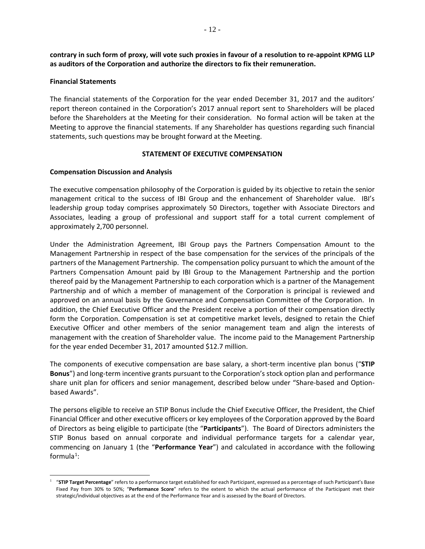**contrary in such form of proxy, will vote such proxies in favour of a resolution to re-appoint KPMG LLP as auditors of the Corporation and authorize the directors to fix their remuneration.**

#### **Financial Statements**

The financial statements of the Corporation for the year ended December 31, 2017 and the auditors' report thereon contained in the Corporation's 2017 annual report sent to Shareholders will be placed before the Shareholders at the Meeting for their consideration. No formal action will be taken at the Meeting to approve the financial statements. If any Shareholder has questions regarding such financial statements, such questions may be brought forward at the Meeting.

# **STATEMENT OF EXECUTIVE COMPENSATION**

#### **Compensation Discussion and Analysis**

The executive compensation philosophy of the Corporation is guided by its objective to retain the senior management critical to the success of IBI Group and the enhancement of Shareholder value. IBI's leadership group today comprises approximately 50 Directors, together with Associate Directors and Associates, leading a group of professional and support staff for a total current complement of approximately 2,700 personnel.

Under the Administration Agreement, IBI Group pays the Partners Compensation Amount to the Management Partnership in respect of the base compensation for the services of the principals of the partners of the Management Partnership. The compensation policy pursuant to which the amount of the Partners Compensation Amount paid by IBI Group to the Management Partnership and the portion thereof paid by the Management Partnership to each corporation which is a partner of the Management Partnership and of which a member of management of the Corporation is principal is reviewed and approved on an annual basis by the Governance and Compensation Committee of the Corporation. In addition, the Chief Executive Officer and the President receive a portion of their compensation directly form the Corporation. Compensation is set at competitive market levels, designed to retain the Chief Executive Officer and other members of the senior management team and align the interests of management with the creation of Shareholder value. The income paid to the Management Partnership for the year ended December 31, 2017 amounted \$12.7 million.

The components of executive compensation are base salary, a short-term incentive plan bonus ("**STIP Bonus**") and long-term incentive grants pursuant to the Corporation's stock option plan and performance share unit plan for officers and senior management, described below under "Share-based and Optionbased Awards".

The persons eligible to receive an STIP Bonus include the Chief Executive Officer, the President, the Chief Financial Officer and other executive officers or key employees of the Corporation approved by the Board of Directors as being eligible to participate (the "**Participants**"). The Board of Directors administers the STIP Bonus based on annual corporate and individual performance targets for a calendar year, commencing on January 1 (the "**Performance Year**") and calculated in accordance with the following formula $^1$  $^1$ :

<span id="page-14-0"></span> <sup>1</sup> "**STIP Target Percentage**" refers to a performance target established for each Participant, expressed as a percentage of such Participant's Base Fixed Pay from 30% to 50%; "**Performance Score**" refers to the extent to which the actual performance of the Participant met their strategic/individual objectives as at the end of the Performance Year and is assessed by the Board of Directors.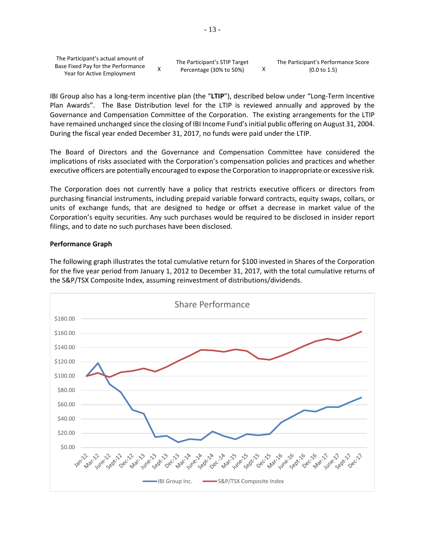| The Participant's actual amount of<br>Base Fixed Pay for the Performance<br>Year for Active Employment |  | The Participant's STIP Target<br>Percentage (30% to 50%) |  | The Participant's Performance Score<br>$(0.0 \text{ to } 1.5)$ |
|--------------------------------------------------------------------------------------------------------|--|----------------------------------------------------------|--|----------------------------------------------------------------|
|--------------------------------------------------------------------------------------------------------|--|----------------------------------------------------------|--|----------------------------------------------------------------|

IBI Group also has a long-term incentive plan (the "**LTIP**"), described below under "Long-Term Incentive Plan Awards". The Base Distribution level for the LTIP is reviewed annually and approved by the Governance and Compensation Committee of the Corporation. The existing arrangements for the LTIP have remained unchanged since the closing of IBI Income Fund's initial public offering on August 31, 2004. During the fiscal year ended December 31, 2017, no funds were paid under the LTIP.

The Board of Directors and the Governance and Compensation Committee have considered the implications of risks associated with the Corporation's compensation policies and practices and whether executive officers are potentially encouraged to expose the Corporation to inappropriate or excessive risk.

The Corporation does not currently have a policy that restricts executive officers or directors from purchasing financial instruments, including prepaid variable forward contracts, equity swaps, collars, or units of exchange funds, that are designed to hedge or offset a decrease in market value of the Corporation's equity securities. Any such purchases would be required to be disclosed in insider report filings, and to date no such purchases have been disclosed.

#### **Performance Graph**

The following graph illustrates the total cumulative return for \$100 invested in Shares of the Corporation for the five year period from January 1, 2012 to December 31, 2017, with the total cumulative returns of the S&P/TSX Composite Index, assuming reinvestment of distributions/dividends.

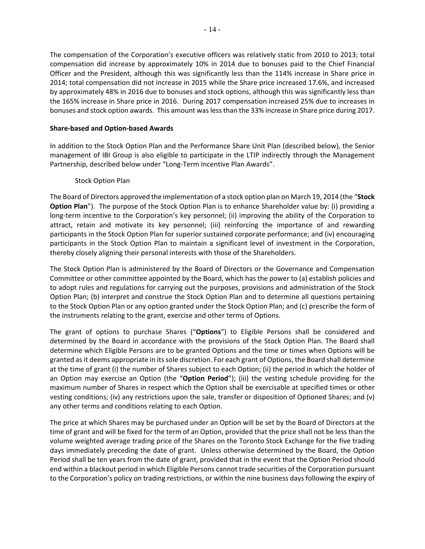The compensation of the Corporation's executive officers was relatively static from 2010 to 2013; total compensation did increase by approximately 10% in 2014 due to bonuses paid to the Chief Financial Officer and the President, although this was significantly less than the 114% increase in Share price in 2014; total compensation did not increase in 2015 while the Share price increased 17.6%, and increased by approximately 48% in 2016 due to bonuses and stock options, although this was significantly less than the 165% increase in Share price in 2016. During 2017 compensation increased 25% due to increases in bonuses and stock option awards. This amount was less than the 33% increase in Share price during 2017.

# **Share-based and Option-based Awards**

In addition to the Stock Option Plan and the Performance Share Unit Plan (described below), the Senior management of IBI Group is also eligible to participate in the LTIP indirectly through the Management Partnership, described below under "Long-Term Incentive Plan Awards".

#### Stock Option Plan

The Board of Directors approved the implementation of a stock option plan on March 19, 2014 (the "**Stock Option Plan**"). The purpose of the Stock Option Plan is to enhance Shareholder value by: (i) providing a long-term incentive to the Corporation's key personnel; (ii) improving the ability of the Corporation to attract, retain and motivate its key personnel; (iii) reinforcing the importance of and rewarding participants in the Stock Option Plan for superior sustained corporate performance; and (iv) encouraging participants in the Stock Option Plan to maintain a significant level of investment in the Corporation, thereby closely aligning their personal interests with those of the Shareholders.

The Stock Option Plan is administered by the Board of Directors or the Governance and Compensation Committee or other committee appointed by the Board, which has the power to (a) establish policies and to adopt rules and regulations for carrying out the purposes, provisions and administration of the Stock Option Plan; (b) interpret and construe the Stock Option Plan and to determine all questions pertaining to the Stock Option Plan or any option granted under the Stock Option Plan; and (c) prescribe the form of the instruments relating to the grant, exercise and other terms of Options.

The grant of options to purchase Shares ("**Options**") to Eligible Persons shall be considered and determined by the Board in accordance with the provisions of the Stock Option Plan. The Board shall determine which Eligible Persons are to be granted Options and the time or times when Options will be granted as it deems appropriate in its sole discretion. For each grant of Options, the Board shall determine at the time of grant (i) the number of Shares subject to each Option; (ii) the period in which the holder of an Option may exercise an Option (the "**Option Period**"); (iii) the vesting schedule providing for the maximum number of Shares in respect which the Option shall be exercisable at specified times or other vesting conditions; (iv) any restrictions upon the sale, transfer or disposition of Optioned Shares; and (v) any other terms and conditions relating to each Option.

The price at which Shares may be purchased under an Option will be set by the Board of Directors at the time of grant and will be fixed for the term of an Option, provided that the price shall not be less than the volume weighted average trading price of the Shares on the Toronto Stock Exchange for the five trading days immediately preceding the date of grant. Unless otherwise determined by the Board, the Option Period shall be ten years from the date of grant, provided that in the event that the Option Period should end within a blackout period in which Eligible Persons cannot trade securities of the Corporation pursuant to the Corporation's policy on trading restrictions, or within the nine business days following the expiry of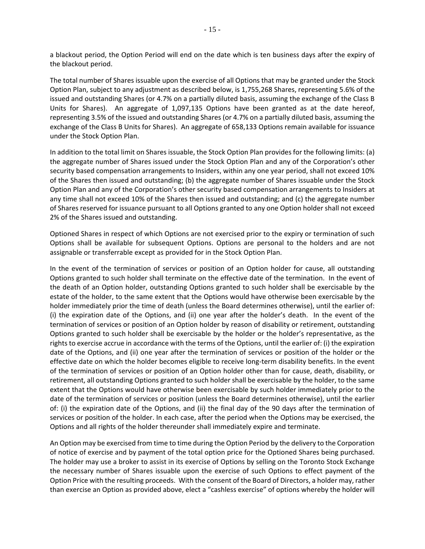a blackout period, the Option Period will end on the date which is ten business days after the expiry of the blackout period.

The total number of Shares issuable upon the exercise of all Options that may be granted under the Stock Option Plan, subject to any adjustment as described below, is 1,755,268 Shares, representing 5.6% of the issued and outstanding Shares (or 4.7% on a partially diluted basis, assuming the exchange of the Class B Units for Shares). An aggregate of 1,097,135 Options have been granted as at the date hereof, representing 3.5% of the issued and outstanding Shares (or 4.7% on a partially diluted basis, assuming the exchange of the Class B Units for Shares). An aggregate of 658,133 Options remain available for issuance under the Stock Option Plan.

In addition to the total limit on Shares issuable, the Stock Option Plan provides for the following limits: (a) the aggregate number of Shares issued under the Stock Option Plan and any of the Corporation's other security based compensation arrangements to Insiders, within any one year period, shall not exceed 10% of the Shares then issued and outstanding; (b) the aggregate number of Shares issuable under the Stock Option Plan and any of the Corporation's other security based compensation arrangements to Insiders at any time shall not exceed 10% of the Shares then issued and outstanding; and (c) the aggregate number of Shares reserved for issuance pursuant to all Options granted to any one Option holder shall not exceed 2% of the Shares issued and outstanding.

Optioned Shares in respect of which Options are not exercised prior to the expiry or termination of such Options shall be available for subsequent Options. Options are personal to the holders and are not assignable or transferrable except as provided for in the Stock Option Plan.

In the event of the termination of services or position of an Option holder for cause, all outstanding Options granted to such holder shall terminate on the effective date of the termination. In the event of the death of an Option holder, outstanding Options granted to such holder shall be exercisable by the estate of the holder, to the same extent that the Options would have otherwise been exercisable by the holder immediately prior the time of death (unless the Board determines otherwise), until the earlier of: (i) the expiration date of the Options, and (ii) one year after the holder's death. In the event of the termination of services or position of an Option holder by reason of disability or retirement, outstanding Options granted to such holder shall be exercisable by the holder or the holder's representative, as the rights to exercise accrue in accordance with the terms of the Options, until the earlier of: (i) the expiration date of the Options, and (ii) one year after the termination of services or position of the holder or the effective date on which the holder becomes eligible to receive long-term disability benefits. In the event of the termination of services or position of an Option holder other than for cause, death, disability, or retirement, all outstanding Options granted to such holder shall be exercisable by the holder, to the same extent that the Options would have otherwise been exercisable by such holder immediately prior to the date of the termination of services or position (unless the Board determines otherwise), until the earlier of: (i) the expiration date of the Options, and (ii) the final day of the 90 days after the termination of services or position of the holder. In each case, after the period when the Options may be exercised, the Options and all rights of the holder thereunder shall immediately expire and terminate.

An Option may be exercised from time to time during the Option Period by the delivery to the Corporation of notice of exercise and by payment of the total option price for the Optioned Shares being purchased. The holder may use a broker to assist in its exercise of Options by selling on the Toronto Stock Exchange the necessary number of Shares issuable upon the exercise of such Options to effect payment of the Option Price with the resulting proceeds. With the consent of the Board of Directors, a holder may, rather than exercise an Option as provided above, elect a "cashless exercise" of options whereby the holder will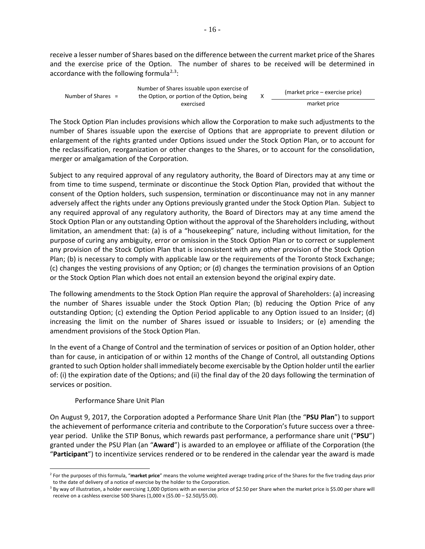receive a lesser number of Shares based on the difference between the current market price of the Shares and the exercise price of the Option. The number of shares to be received will be determined in accordance with the following formula<sup>[2](#page-18-0),[3](#page-18-1)</sup>:

| Number of Shares $=$ | Number of Shares issuable upon exercise of<br>the Option, or portion of the Option, being | (market price – exercise price) |  |
|----------------------|-------------------------------------------------------------------------------------------|---------------------------------|--|
|                      | exercised                                                                                 | market price                    |  |

The Stock Option Plan includes provisions which allow the Corporation to make such adjustments to the number of Shares issuable upon the exercise of Options that are appropriate to prevent dilution or enlargement of the rights granted under Options issued under the Stock Option Plan, or to account for the reclassification, reorganization or other changes to the Shares, or to account for the consolidation, merger or amalgamation of the Corporation.

Subject to any required approval of any regulatory authority, the Board of Directors may at any time or from time to time suspend, terminate or discontinue the Stock Option Plan, provided that without the consent of the Option holders, such suspension, termination or discontinuance may not in any manner adversely affect the rights under any Options previously granted under the Stock Option Plan. Subject to any required approval of any regulatory authority, the Board of Directors may at any time amend the Stock Option Plan or any outstanding Option without the approval of the Shareholders including, without limitation, an amendment that: (a) is of a "housekeeping" nature, including without limitation, for the purpose of curing any ambiguity, error or omission in the Stock Option Plan or to correct or supplement any provision of the Stock Option Plan that is inconsistent with any other provision of the Stock Option Plan; (b) is necessary to comply with applicable law or the requirements of the Toronto Stock Exchange; (c) changes the vesting provisions of any Option; or (d) changes the termination provisions of an Option or the Stock Option Plan which does not entail an extension beyond the original expiry date.

The following amendments to the Stock Option Plan require the approval of Shareholders: (a) increasing the number of Shares issuable under the Stock Option Plan; (b) reducing the Option Price of any outstanding Option; (c) extending the Option Period applicable to any Option issued to an Insider; (d) increasing the limit on the number of Shares issued or issuable to Insiders; or (e) amending the amendment provisions of the Stock Option Plan.

In the event of a Change of Control and the termination of services or position of an Option holder, other than for cause, in anticipation of or within 12 months of the Change of Control, all outstanding Options granted to such Option holder shall immediately become exercisable by the Option holder until the earlier of: (i) the expiration date of the Options; and (ii) the final day of the 20 days following the termination of services or position.

# Performance Share Unit Plan

 $\overline{a}$ 

On August 9, 2017, the Corporation adopted a Performance Share Unit Plan (the "**PSU Plan**") to support the achievement of performance criteria and contribute to the Corporation's future success over a threeyear period. Unlike the STIP Bonus, which rewards past performance, a performance share unit ("**PSU**") granted under the PSU Plan (an "**Award**") is awarded to an employee or affiliate of the Corporation (the "**Participant**") to incentivize services rendered or to be rendered in the calendar year the award is made

<span id="page-18-0"></span><sup>2</sup> For the purposes of this formula, "**market price**" means the volume weighted average trading price of the Shares for the five trading days prior to the date of delivery of a notice of exercise by the holder to the Corporation.

<span id="page-18-1"></span><sup>&</sup>lt;sup>3</sup> By way of illustration, a holder exercising 1,000 Options with an exercise price of \$2.50 per Share when the market price is \$5.00 per share will receive on a cashless exercise 500 Shares (1,000 x (\$5.00 – \$2.50)/\$5.00).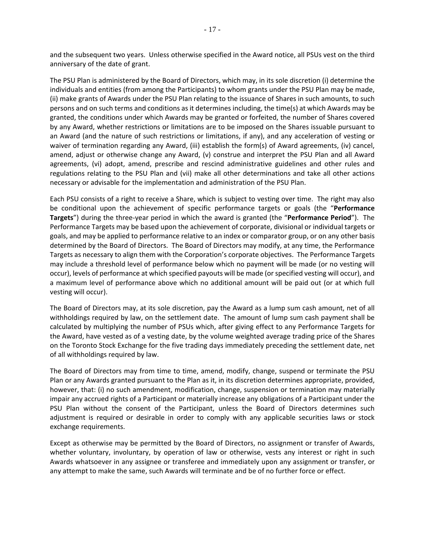and the subsequent two years. Unless otherwise specified in the Award notice, all PSUs vest on the third anniversary of the date of grant.

The PSU Plan is administered by the Board of Directors, which may, in its sole discretion (i) determine the individuals and entities (from among the Participants) to whom grants under the PSU Plan may be made, (ii) make grants of Awards under the PSU Plan relating to the issuance of Shares in such amounts, to such persons and on such terms and conditions as it determines including, the time(s) at which Awards may be granted, the conditions under which Awards may be granted or forfeited, the number of Shares covered by any Award, whether restrictions or limitations are to be imposed on the Shares issuable pursuant to an Award (and the nature of such restrictions or limitations, if any), and any acceleration of vesting or waiver of termination regarding any Award, (iii) establish the form(s) of Award agreements, (iv) cancel, amend, adjust or otherwise change any Award, (v) construe and interpret the PSU Plan and all Award agreements, (vi) adopt, amend, prescribe and rescind administrative guidelines and other rules and regulations relating to the PSU Plan and (vii) make all other determinations and take all other actions necessary or advisable for the implementation and administration of the PSU Plan.

Each PSU consists of a right to receive a Share, which is subject to vesting over time. The right may also be conditional upon the achievement of specific performance targets or goals (the "**Performance Targets**") during the three-year period in which the award is granted (the "**Performance Period**"). The Performance Targets may be based upon the achievement of corporate, divisional or individual targets or goals, and may be applied to performance relative to an index or comparator group, or on any other basis determined by the Board of Directors. The Board of Directors may modify, at any time, the Performance Targets as necessary to align them with the Corporation's corporate objectives. The Performance Targets may include a threshold level of performance below which no payment will be made (or no vesting will occur), levels of performance at which specified payouts will be made (or specified vesting will occur), and a maximum level of performance above which no additional amount will be paid out (or at which full vesting will occur).

The Board of Directors may, at its sole discretion, pay the Award as a lump sum cash amount, net of all withholdings required by law, on the settlement date. The amount of lump sum cash payment shall be calculated by multiplying the number of PSUs which, after giving effect to any Performance Targets for the Award, have vested as of a vesting date, by the volume weighted average trading price of the Shares on the Toronto Stock Exchange for the five trading days immediately preceding the settlement date, net of all withholdings required by law.

The Board of Directors may from time to time, amend, modify, change, suspend or terminate the PSU Plan or any Awards granted pursuant to the Plan as it, in its discretion determines appropriate, provided, however, that: (i) no such amendment, modification, change, suspension or termination may materially impair any accrued rights of a Participant or materially increase any obligations of a Participant under the PSU Plan without the consent of the Participant, unless the Board of Directors determines such adjustment is required or desirable in order to comply with any applicable securities laws or stock exchange requirements.

Except as otherwise may be permitted by the Board of Directors, no assignment or transfer of Awards, whether voluntary, involuntary, by operation of law or otherwise, vests any interest or right in such Awards whatsoever in any assignee or transferee and immediately upon any assignment or transfer, or any attempt to make the same, such Awards will terminate and be of no further force or effect.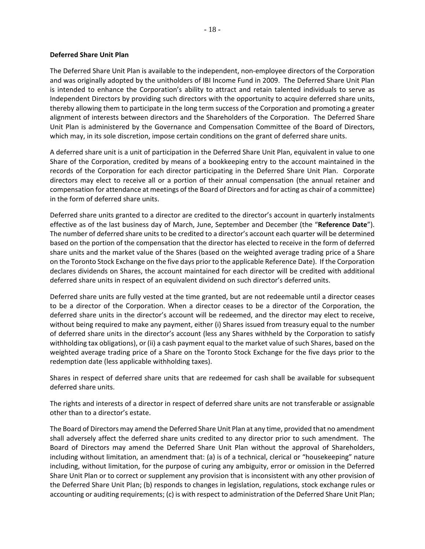#### **Deferred Share Unit Plan**

The Deferred Share Unit Plan is available to the independent, non-employee directors of the Corporation and was originally adopted by the unitholders of IBI Income Fund in 2009. The Deferred Share Unit Plan is intended to enhance the Corporation's ability to attract and retain talented individuals to serve as Independent Directors by providing such directors with the opportunity to acquire deferred share units, thereby allowing them to participate in the long term success of the Corporation and promoting a greater alignment of interests between directors and the Shareholders of the Corporation. The Deferred Share Unit Plan is administered by the Governance and Compensation Committee of the Board of Directors, which may, in its sole discretion, impose certain conditions on the grant of deferred share units.

A deferred share unit is a unit of participation in the Deferred Share Unit Plan, equivalent in value to one Share of the Corporation, credited by means of a bookkeeping entry to the account maintained in the records of the Corporation for each director participating in the Deferred Share Unit Plan. Corporate directors may elect to receive all or a portion of their annual compensation (the annual retainer and compensation for attendance at meetings of the Board of Directors and for acting as chair of a committee) in the form of deferred share units.

Deferred share units granted to a director are credited to the director's account in quarterly instalments effective as of the last business day of March, June, September and December (the "**Reference Date**"). The number of deferred share units to be credited to a director's account each quarter will be determined based on the portion of the compensation that the director has elected to receive in the form of deferred share units and the market value of the Shares (based on the weighted average trading price of a Share on the Toronto Stock Exchange on the five days prior to the applicable Reference Date). If the Corporation declares dividends on Shares, the account maintained for each director will be credited with additional deferred share units in respect of an equivalent dividend on such director's deferred units.

Deferred share units are fully vested at the time granted, but are not redeemable until a director ceases to be a director of the Corporation. When a director ceases to be a director of the Corporation, the deferred share units in the director's account will be redeemed, and the director may elect to receive, without being required to make any payment, either (i) Shares issued from treasury equal to the number of deferred share units in the director's account (less any Shares withheld by the Corporation to satisfy withholding tax obligations), or (ii) a cash payment equal to the market value of such Shares, based on the weighted average trading price of a Share on the Toronto Stock Exchange for the five days prior to the redemption date (less applicable withholding taxes).

Shares in respect of deferred share units that are redeemed for cash shall be available for subsequent deferred share units.

The rights and interests of a director in respect of deferred share units are not transferable or assignable other than to a director's estate.

The Board of Directors may amend the Deferred Share Unit Plan at any time, provided that no amendment shall adversely affect the deferred share units credited to any director prior to such amendment. The Board of Directors may amend the Deferred Share Unit Plan without the approval of Shareholders, including without limitation, an amendment that: (a) is of a technical, clerical or "housekeeping" nature including, without limitation, for the purpose of curing any ambiguity, error or omission in the Deferred Share Unit Plan or to correct or supplement any provision that is inconsistent with any other provision of the Deferred Share Unit Plan; (b) responds to changes in legislation, regulations, stock exchange rules or accounting or auditing requirements; (c) is with respect to administration of the Deferred Share Unit Plan;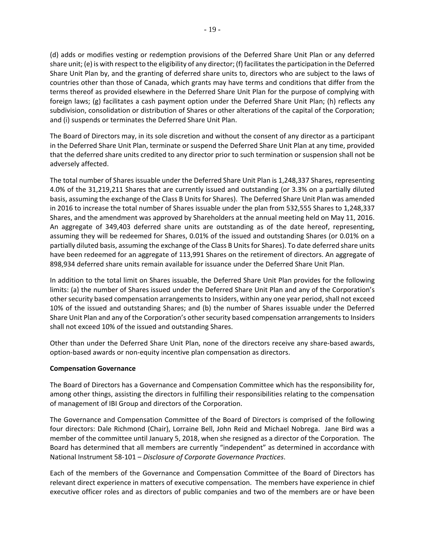(d) adds or modifies vesting or redemption provisions of the Deferred Share Unit Plan or any deferred share unit; (e) is with respect to the eligibility of any director; (f) facilitates the participation in the Deferred Share Unit Plan by, and the granting of deferred share units to, directors who are subject to the laws of countries other than those of Canada, which grants may have terms and conditions that differ from the terms thereof as provided elsewhere in the Deferred Share Unit Plan for the purpose of complying with foreign laws; (g) facilitates a cash payment option under the Deferred Share Unit Plan; (h) reflects any subdivision, consolidation or distribution of Shares or other alterations of the capital of the Corporation; and (i) suspends or terminates the Deferred Share Unit Plan.

The Board of Directors may, in its sole discretion and without the consent of any director as a participant in the Deferred Share Unit Plan, terminate or suspend the Deferred Share Unit Plan at any time, provided that the deferred share units credited to any director prior to such termination or suspension shall not be adversely affected.

The total number of Shares issuable under the Deferred Share Unit Plan is 1,248,337 Shares, representing 4.0% of the 31,219,211 Shares that are currently issued and outstanding (or 3.3% on a partially diluted basis, assuming the exchange of the Class B Units for Shares). The Deferred Share Unit Plan was amended in 2016 to increase the total number of Shares issuable under the plan from 532,555 Shares to 1,248,337 Shares, and the amendment was approved by Shareholders at the annual meeting held on May 11, 2016. An aggregate of 349,403 deferred share units are outstanding as of the date hereof, representing, assuming they will be redeemed for Shares, 0.01% of the issued and outstanding Shares (or 0.01% on a partially diluted basis, assuming the exchange of the Class B Units for Shares). To date deferred share units have been redeemed for an aggregate of 113,991 Shares on the retirement of directors. An aggregate of 898,934 deferred share units remain available for issuance under the Deferred Share Unit Plan.

In addition to the total limit on Shares issuable, the Deferred Share Unit Plan provides for the following limits: (a) the number of Shares issued under the Deferred Share Unit Plan and any of the Corporation's other security based compensation arrangements to Insiders, within any one year period, shall not exceed 10% of the issued and outstanding Shares; and (b) the number of Shares issuable under the Deferred Share Unit Plan and any of the Corporation's other security based compensation arrangements to Insiders shall not exceed 10% of the issued and outstanding Shares.

Other than under the Deferred Share Unit Plan, none of the directors receive any share-based awards, option-based awards or non-equity incentive plan compensation as directors.

#### **Compensation Governance**

The Board of Directors has a Governance and Compensation Committee which has the responsibility for, among other things, assisting the directors in fulfilling their responsibilities relating to the compensation of management of IBI Group and directors of the Corporation.

The Governance and Compensation Committee of the Board of Directors is comprised of the following four directors: Dale Richmond (Chair), Lorraine Bell, John Reid and Michael Nobrega. Jane Bird was a member of the committee until January 5, 2018, when she resigned as a director of the Corporation. The Board has determined that all members are currently "independent" as determined in accordance with National Instrument 58-101 – *Disclosure of Corporate Governance Practices*.

Each of the members of the Governance and Compensation Committee of the Board of Directors has relevant direct experience in matters of executive compensation. The members have experience in chief executive officer roles and as directors of public companies and two of the members are or have been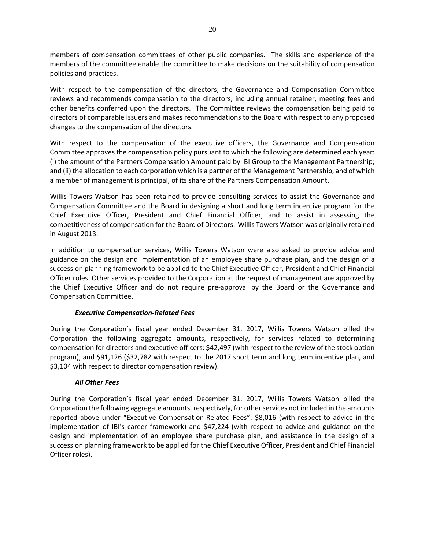members of compensation committees of other public companies. The skills and experience of the members of the committee enable the committee to make decisions on the suitability of compensation policies and practices.

With respect to the compensation of the directors, the Governance and Compensation Committee reviews and recommends compensation to the directors, including annual retainer, meeting fees and other benefits conferred upon the directors. The Committee reviews the compensation being paid to directors of comparable issuers and makes recommendations to the Board with respect to any proposed changes to the compensation of the directors.

With respect to the compensation of the executive officers, the Governance and Compensation Committee approves the compensation policy pursuant to which the following are determined each year: (i) the amount of the Partners Compensation Amount paid by IBI Group to the Management Partnership; and (ii) the allocation to each corporation which is a partner of the Management Partnership, and of which a member of management is principal, of its share of the Partners Compensation Amount.

Willis Towers Watson has been retained to provide consulting services to assist the Governance and Compensation Committee and the Board in designing a short and long term incentive program for the Chief Executive Officer, President and Chief Financial Officer, and to assist in assessing the competitiveness of compensation for the Board of Directors. Willis Towers Watson was originally retained in August 2013.

In addition to compensation services, Willis Towers Watson were also asked to provide advice and guidance on the design and implementation of an employee share purchase plan, and the design of a succession planning framework to be applied to the Chief Executive Officer, President and Chief Financial Officer roles. Other services provided to the Corporation at the request of management are approved by the Chief Executive Officer and do not require pre-approval by the Board or the Governance and Compensation Committee.

# *Executive Compensation-Related Fees*

During the Corporation's fiscal year ended December 31, 2017, Willis Towers Watson billed the Corporation the following aggregate amounts, respectively, for services related to determining compensation for directors and executive officers: \$42,497 (with respect to the review of the stock option program), and \$91,126 (\$32,782 with respect to the 2017 short term and long term incentive plan, and \$3,104 with respect to director compensation review).

# *All Other Fees*

During the Corporation's fiscal year ended December 31, 2017, Willis Towers Watson billed the Corporation the following aggregate amounts, respectively, for other services not included in the amounts reported above under "Executive Compensation-Related Fees": \$8,016 (with respect to advice in the implementation of IBI's career framework) and \$47,224 (with respect to advice and guidance on the design and implementation of an employee share purchase plan, and assistance in the design of a succession planning framework to be applied for the Chief Executive Officer, President and Chief Financial Officer roles).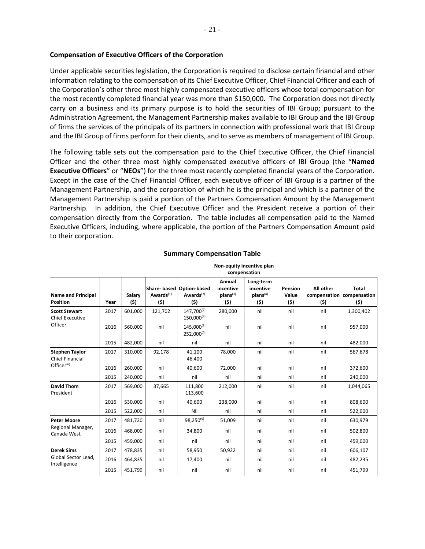#### **Compensation of Executive Officers of the Corporation**

Under applicable securities legislation, the Corporation is required to disclose certain financial and other information relating to the compensation of its Chief Executive Officer, Chief Financial Officer and each of the Corporation's other three most highly compensated executive officers whose total compensation for the most recently completed financial year was more than \$150,000. The Corporation does not directly carry on a business and its primary purpose is to hold the securities of IBI Group; pursuant to the Administration Agreement, the Management Partnership makes available to IBI Group and the IBI Group of firms the services of the principals of its partners in connection with professional work that IBI Group and the IBI Group of firms perform for their clients, and to serve as members of management of IBI Group.

The following table sets out the compensation paid to the Chief Executive Officer, the Chief Financial Officer and the other three most highly compensated executive officers of IBI Group (the "**Named Executive Officers**" or "**NEOs**") for the three most recently completed financial years of the Corporation. Except in the case of the Chief Financial Officer, each executive officer of IBI Group is a partner of the Management Partnership, and the corporation of which he is the principal and which is a partner of the Management Partnership is paid a portion of the Partners Compensation Amount by the Management Partnership. In addition, the Chief Executive Officer and the President receive a portion of their compensation directly from the Corporation. The table includes all compensation paid to the Named Executive Officers, including, where applicable, the portion of the Partners Compensation Amount paid to their corporation.

|                                                 |      |                |                              |                                                 |                                                  | Non-equity incentive plan<br>compensation           |                          |                                   |                                      |
|-------------------------------------------------|------|----------------|------------------------------|-------------------------------------------------|--------------------------------------------------|-----------------------------------------------------|--------------------------|-----------------------------------|--------------------------------------|
| Name and Principal<br><b>Position</b>           | Year | Salary<br>(\$) | Awards <sup>(1)</sup><br>(5) | Share-based Option-based<br>Awards $(2)$<br>(5) | Annual<br>incentive<br>plan <sub>3</sub><br>(\$) | Long-term<br>incentive<br>plan <sub>4</sub><br>(\$) | Pension<br>Value<br>(\$) | All other<br>compensation<br>(\$) | <b>Total</b><br>compensation<br>(\$) |
| <b>Scott Stewart</b><br><b>Chief Executive</b>  | 2017 | 601,000        | 121.702                      | $147,700^{(7)}$<br>150.000(8)                   | 280,000                                          | nil                                                 | nil                      | nil                               | 1,300,402                            |
| Officer                                         | 2016 | 560,000        | nil                          | $145.000^{(2)}$<br>$252,000^{(5)}$              | nil                                              | nil                                                 | nil                      | nil                               | 957,000                              |
|                                                 | 2015 | 482,000        | nil                          | nil                                             | nil                                              | nil                                                 | nil                      | nil                               | 482,000                              |
| <b>Stephen Taylor</b><br><b>Chief Financial</b> | 2017 | 310,000        | 92,178                       | 41,100<br>46.400                                | 78,000                                           | nil                                                 | nil                      | nil                               | 567,678                              |
| Officer <sup>(6)</sup>                          | 2016 | 260,000        | nil                          | 40.600                                          | 72,000                                           | nil                                                 | nil                      | nil                               | 372,600                              |
|                                                 | 2015 | 240,000        | nil                          | nil                                             | nil                                              | nil                                                 | nil                      | nil                               | 240,000                              |
| David Thom<br>President                         | 2017 | 569,000        | 37,665                       | 111,800<br>113,600                              | 212,000                                          | nil                                                 | nil                      | nil                               | 1,044,065                            |
|                                                 | 2016 | 530,000        | nil                          | 40,600                                          | 238,000                                          | nil                                                 | nil                      | nil                               | 808,600                              |
|                                                 | 2015 | 522,000        | nil                          | Nil                                             | nil                                              | nil                                                 | nil                      | nil                               | 522,000                              |
| <b>Peter Moore</b>                              | 2017 | 481,720        | nil                          | 98,250(9)                                       | 51,009                                           | nil                                                 | nil                      | nil                               | 630,979                              |
| Regional Manager,<br>Canada West                | 2016 | 468,000        | nil                          | 34,800                                          | nil                                              | nil                                                 | nil                      | nil                               | 502,800                              |
|                                                 | 2015 | 459,000        | nil                          | nil                                             | nil                                              | nil                                                 | nil                      | nil                               | 459,000                              |
| <b>Derek Sims</b>                               | 2017 | 478,835        | nil                          | 58,950                                          | 50,922                                           | nil                                                 | nil                      | nil                               | 606,107                              |
| Global Sector Lead,<br>Intelligence             | 2016 | 464,835        | nil                          | 17,400                                          | nil                                              | nil                                                 | nil                      | nil                               | 482,235                              |
|                                                 | 2015 | 451,799        | nil                          | nil                                             | nil                                              | nil                                                 | nil                      | nil                               | 451,799                              |

#### **Summary Compensation Table**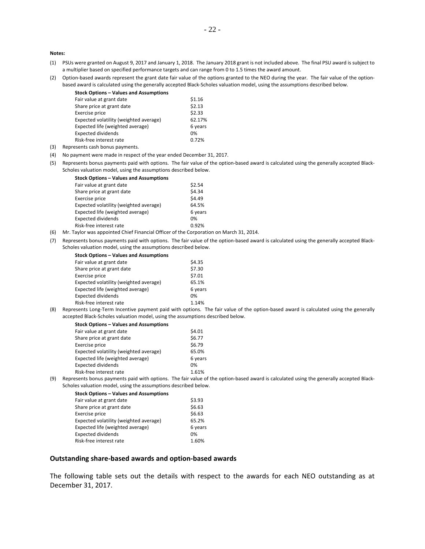**Notes:**

- (1) PSUs were granted on August 9, 2017 and January 1, 2018. The January 2018 grant is not included above. The final PSU award is subject to a multiplier based on specified performance targets and can range from 0 to 1.5 times the award amount.
- (2) Option-based awards represent the grant date fair value of the options granted to the NEO during the year. The fair value of the optionbased award is calculated using the generally accepted Black-Scholes valuation model, using the assumptions described below.

| <b>Stock Options - Values and Assumptions</b> |         |
|-----------------------------------------------|---------|
| Fair value at grant date                      | \$1.16  |
| Share price at grant date                     | \$2.13  |
| Exercise price                                | \$2.33  |
| Expected volatility (weighted average)        | 62.17%  |
| Expected life (weighted average)              | 6 years |
| <b>Expected dividends</b>                     | 0%      |
| Risk-free interest rate                       | 0.72%   |
|                                               |         |

(3) Represents cash bonus payments.

- (4) No payment were made in respect of the year ended December 31, 2017.
- (5) Represents bonus payments paid with options. The fair value of the option-based award is calculated using the generally accepted Black-Scholes valuation model, using the assumptions described below.

| <b>Stock Options - Values and Assumptions</b> |         |
|-----------------------------------------------|---------|
| Fair value at grant date                      | \$2.54  |
| Share price at grant date                     | \$4.34  |
| Exercise price                                | \$4.49  |
| Expected volatility (weighted average)        | 64.5%   |
| Expected life (weighted average)              | 6 years |
| <b>Expected dividends</b>                     | በ%      |
| Risk-free interest rate                       | 0.92%   |

- (6) Mr. Taylor was appointed Chief Financial Officer of the Corporation on March 31, 2014.
- (7) Represents bonus payments paid with options. The fair value of the option-based award is calculated using the generally accepted Black-Scholes valuation model, using the assumptions described below.

| <b>Stock Options - Values and Assumptions</b> |         |
|-----------------------------------------------|---------|
| Fair value at grant date                      | \$4.35  |
| Share price at grant date                     | \$7.30  |
| Exercise price                                | \$7.01  |
| Expected volatility (weighted average)        | 65.1%   |
| Expected life (weighted average)              | 6 years |
| <b>Expected dividends</b>                     | 0%      |
| Risk-free interest rate                       | 1.14%   |
|                                               |         |

(8) Represents Long-Term Incentive payment paid with options. The fair value of the option-based award is calculated using the generally accepted Black-Scholes valuation model, using the assumptions described below.

| <b>Stock Options - Values and Assumptions</b> |         |
|-----------------------------------------------|---------|
| Fair value at grant date                      | \$4.01  |
| Share price at grant date                     | \$6.77  |
| Exercise price                                | \$6.79  |
| Expected volatility (weighted average)        | 65.0%   |
| Expected life (weighted average)              | 6 years |
| <b>Expected dividends</b>                     | 0%      |
| Risk-free interest rate                       | 1.61%   |
|                                               |         |

(9) Represents bonus payments paid with options. The fair value of the option-based award is calculated using the generally accepted Black-Scholes valuation model, using the assumptions described below.

| <b>Stock Options - Values and Assumptions</b> |         |
|-----------------------------------------------|---------|
| Fair value at grant date                      | \$3.93  |
| Share price at grant date                     | \$6.63  |
| Exercise price                                | \$6.63  |
| Expected volatility (weighted average)        | 65.2%   |
| Expected life (weighted average)              | 6 years |
| <b>Expected dividends</b>                     | በ%      |
| Risk-free interest rate                       | 1.60%   |
|                                               |         |

#### **Outstanding share-based awards and option-based awards**

The following table sets out the details with respect to the awards for each NEO outstanding as at December 31, 2017.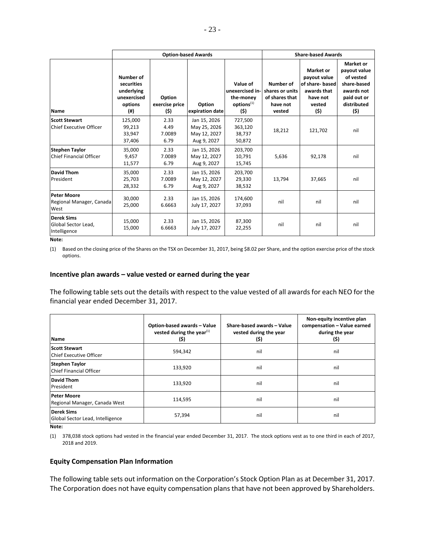|                                                          |                                                                        |                                  | <b>Option-based Awards</b>                                  | <b>Share-based Awards</b>                                                  |                                                                      |                                                                                          |                                                                                                                  |
|----------------------------------------------------------|------------------------------------------------------------------------|----------------------------------|-------------------------------------------------------------|----------------------------------------------------------------------------|----------------------------------------------------------------------|------------------------------------------------------------------------------------------|------------------------------------------------------------------------------------------------------------------|
| <b>Name</b>                                              | Number of<br>securities<br>underlying<br>unexercised<br>options<br>(#) | Option<br>exercise price<br>(\$) | Option<br>expiration date                                   | Value of<br>unexercised in-<br>the-money<br>options <sup>(1)</sup><br>(\$) | Number of<br>shares or units<br>of shares that<br>have not<br>vested | Market or<br>payout value<br>of share-based<br>awards that<br>have not<br>vested<br>(\$) | <b>Market or</b><br>payout value<br>of vested<br>share-based<br>awards not<br>paid out or<br>distributed<br>(\$) |
| <b>Scott Stewart</b><br><b>Chief Executive Officer</b>   | 125,000<br>99,213<br>33,947<br>37,406                                  | 2.33<br>4.49<br>7.0089<br>6.79   | Jan 15, 2026<br>May 25, 2026<br>May 12, 2027<br>Aug 9, 2027 | 727,500<br>363,120<br>38,737<br>50,872                                     | 18,212                                                               | 121,702                                                                                  | nil                                                                                                              |
| <b>Stephen Taylor</b><br><b>Chief Financial Officer</b>  | 35,000<br>9,457<br>11,577                                              | 2.33<br>7.0089<br>6.79           | Jan 15, 2026<br>May 12, 2027<br>Aug 9, 2027                 | 203,700<br>10,791<br>15,745                                                | 5,636                                                                | 92,178                                                                                   | nil                                                                                                              |
| <b>David Thom</b><br>President                           | 35,000<br>25,703<br>28,332                                             | 2.33<br>7.0089<br>6.79           | Jan 15, 2026<br>May 12, 2027<br>Aug 9, 2027                 | 203,700<br>29,330<br>38,532                                                | 13,794                                                               | 37,665                                                                                   | nil                                                                                                              |
| <b>Peter Moore</b><br>Regional Manager, Canada<br>West   | 30.000<br>25,000                                                       | 2.33<br>6.6663                   | Jan 15, 2026<br>July 17, 2027                               | 174,600<br>37,093                                                          | nil                                                                  | nil                                                                                      | nil                                                                                                              |
| <b>Derek Sims</b><br>Global Sector Lead,<br>Intelligence | 15,000<br>15,000                                                       | 2.33<br>6.6663                   | Jan 15, 2026<br>July 17, 2027                               | 87,300<br>22,255                                                           | nil                                                                  | nil                                                                                      | nil                                                                                                              |

**Note:**

(1) Based on the closing price of the Shares on the TSX on December 31, 2017, being \$8.02 per Share, and the option exercise price of the stock options.

# **Incentive plan awards – value vested or earned during the year**

The following table sets out the details with respect to the value vested of all awards for each NEO for the financial year ended December 31, 2017.

| <b>Name</b>                                            | Option-based awards - Value<br>vested during the year $(1)$<br>(\$) | Share-based awards - Value<br>vested during the year<br>(\$) | Non-equity incentive plan<br>compensation - Value earned<br>during the year<br>(\$) |
|--------------------------------------------------------|---------------------------------------------------------------------|--------------------------------------------------------------|-------------------------------------------------------------------------------------|
| <b>Scott Stewart</b><br><b>Chief Executive Officer</b> | 594,342                                                             | nil                                                          | nil                                                                                 |
| Stephen Taylor<br>Chief Financial Officer              | 133,920                                                             | nil                                                          | nil                                                                                 |
| <b>David Thom</b><br>President                         | 133,920                                                             | nil                                                          | nil                                                                                 |
| Peter Moore<br>Regional Manager, Canada West           | 114,595                                                             | nil                                                          | nil                                                                                 |
| <b>Derek Sims</b><br>Global Sector Lead, Intelligence  | 57,394                                                              | nil                                                          | nil                                                                                 |

**Note:**

(1) 378,038 stock options had vested in the financial year ended December 31, 2017. The stock options vest as to one third in each of 2017, 2018 and 2019.

#### **Equity Compensation Plan Information**

The following table sets out information on the Corporation's Stock Option Plan as at December 31, 2017. The Corporation does not have equity compensation plans that have not been approved by Shareholders.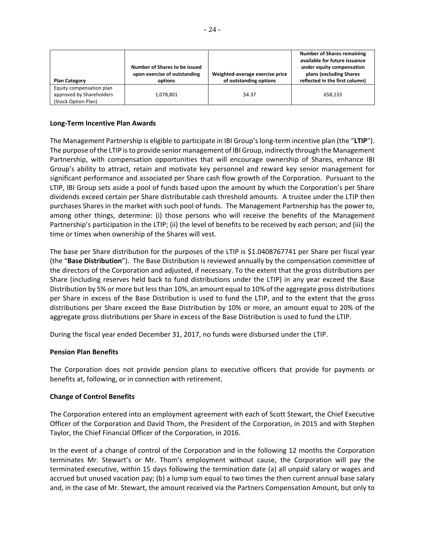| <b>Plan Category</b>                                                        | Number of Shares to be issued<br>upon exercise of outstanding<br>options | Weighted-average exercise price<br>of outstanding options | <b>Number of Shares remaining</b><br>available for future issuance<br>under equity compensation<br>plans (excluding Shares<br>reflected in the first column) |
|-----------------------------------------------------------------------------|--------------------------------------------------------------------------|-----------------------------------------------------------|--------------------------------------------------------------------------------------------------------------------------------------------------------------|
| Equity compensation plan<br>approved by Shareholders<br>(Stock Option Plan) | 1.078.801                                                                | \$4.37                                                    | 658.133                                                                                                                                                      |

#### **Long-Term Incentive Plan Awards**

The Management Partnership is eligible to participate in IBI Group's long-term incentive plan (the "**LTIP**"). The purpose of the LTIP is to provide senior management of IBI Group, indirectly through the Management Partnership, with compensation opportunities that will encourage ownership of Shares, enhance IBI Group's ability to attract, retain and motivate key personnel and reward key senior management for significant performance and associated per Share cash flow growth of the Corporation. Pursuant to the LTIP, IBI Group sets aside a pool of funds based upon the amount by which the Corporation's per Share dividends exceed certain per Share distributable cash threshold amounts. A trustee under the LTIP then purchases Shares in the market with such pool of funds. The Management Partnership has the power to, among other things, determine: (i) those persons who will receive the benefits of the Management Partnership's participation in the LTIP; (ii) the level of benefits to be received by each person; and (iii) the time or times when ownership of the Shares will vest.

The base per Share distribution for the purposes of the LTIP is \$1.0408767741 per Share per fiscal year (the "**Base Distribution**"). The Base Distribution is reviewed annually by the compensation committee of the directors of the Corporation and adjusted, if necessary. To the extent that the gross distributions per Share (including reserves held back to fund distributions under the LTIP) in any year exceed the Base Distribution by 5% or more but less than 10%, an amount equal to 10% of the aggregate gross distributions per Share in excess of the Base Distribution is used to fund the LTIP, and to the extent that the gross distributions per Share exceed the Base Distribution by 10% or more, an amount equal to 20% of the aggregate gross distributions per Share in excess of the Base Distribution is used to fund the LTIP.

During the fiscal year ended December 31, 2017, no funds were disbursed under the LTIP.

# **Pension Plan Benefits**

The Corporation does not provide pension plans to executive officers that provide for payments or benefits at, following, or in connection with retirement.

# **Change of Control Benefits**

The Corporation entered into an employment agreement with each of Scott Stewart, the Chief Executive Officer of the Corporation and David Thom, the President of the Corporation, in 2015 and with Stephen Taylor, the Chief Financial Officer of the Corporation, in 2016.

In the event of a change of control of the Corporation and in the following 12 months the Corporation terminates Mr. Stewart's or Mr. Thom's employment without cause, the Corporation will pay the terminated executive, within 15 days following the termination date (a) all unpaid salary or wages and accrued but unused vacation pay; (b) a lump sum equal to two times the then current annual base salary and, in the case of Mr. Stewart, the amount received via the Partners Compensation Amount, but only to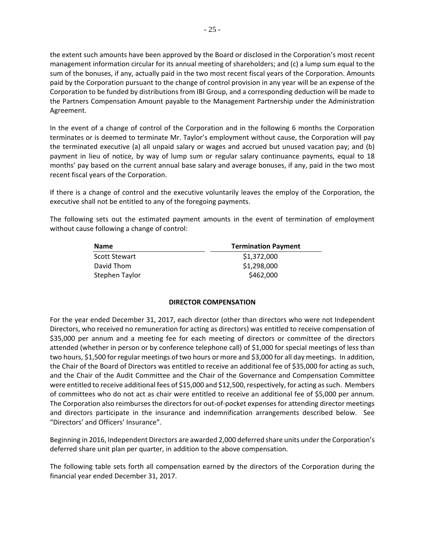the extent such amounts have been approved by the Board or disclosed in the Corporation's most recent management information circular for its annual meeting of shareholders; and (c) a lump sum equal to the sum of the bonuses, if any, actually paid in the two most recent fiscal years of the Corporation. Amounts paid by the Corporation pursuant to the change of control provision in any year will be an expense of the Corporation to be funded by distributions from IBI Group, and a corresponding deduction will be made to the Partners Compensation Amount payable to the Management Partnership under the Administration Agreement.

In the event of a change of control of the Corporation and in the following 6 months the Corporation terminates or is deemed to terminate Mr. Taylor's employment without cause, the Corporation will pay the terminated executive (a) all unpaid salary or wages and accrued but unused vacation pay; and (b) payment in lieu of notice, by way of lump sum or regular salary continuance payments, equal to 18 months' pay based on the current annual base salary and average bonuses, if any, paid in the two most recent fiscal years of the Corporation.

If there is a change of control and the executive voluntarily leaves the employ of the Corporation, the executive shall not be entitled to any of the foregoing payments.

The following sets out the estimated payment amounts in the event of termination of employment without cause following a change of control:

| <b>Name</b>          | <b>Termination Payment</b> |  |
|----------------------|----------------------------|--|
| <b>Scott Stewart</b> | \$1,372,000                |  |
| David Thom           | \$1,298,000                |  |
| Stephen Taylor       | \$462,000                  |  |

#### **DIRECTOR COMPENSATION**

For the year ended December 31, 2017, each director (other than directors who were not Independent Directors, who received no remuneration for acting as directors) was entitled to receive compensation of \$35,000 per annum and a meeting fee for each meeting of directors or committee of the directors attended (whether in person or by conference telephone call) of \$1,000 for special meetings of less than two hours, \$1,500 for regular meetings of two hours or more and \$3,000 for all day meetings. In addition, the Chair of the Board of Directors was entitled to receive an additional fee of \$35,000 for acting as such, and the Chair of the Audit Committee and the Chair of the Governance and Compensation Committee were entitled to receive additional fees of \$15,000 and \$12,500, respectively, for acting as such. Members of committees who do not act as chair were entitled to receive an additional fee of \$5,000 per annum. The Corporation also reimburses the directors for out-of-pocket expenses for attending director meetings and directors participate in the insurance and indemnification arrangements described below. See "Directors' and Officers' Insurance".

Beginning in 2016, Independent Directors are awarded 2,000 deferred share units under the Corporation's deferred share unit plan per quarter, in addition to the above compensation.

The following table sets forth all compensation earned by the directors of the Corporation during the financial year ended December 31, 2017.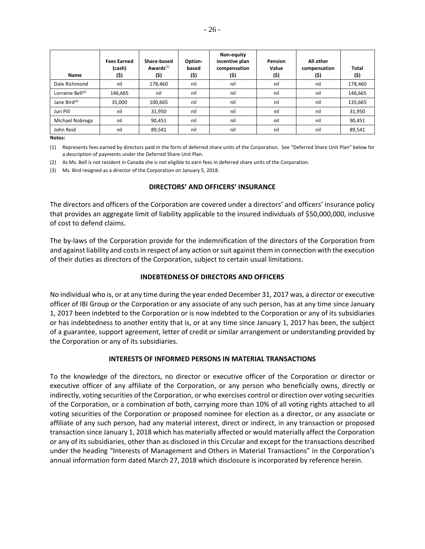| Name                     | <b>Fees Earned</b><br>(cash)<br>(\$) | Share-based<br>Awards $(1)$<br>(\$) | Option-<br>based<br>(\$) | Non-equity<br>incentive plan<br>compensation<br>(\$) | Pension<br>Value<br>(\$) | All other<br>compensation<br>(\$) | <b>Total</b><br>(\$) |
|--------------------------|--------------------------------------|-------------------------------------|--------------------------|------------------------------------------------------|--------------------------|-----------------------------------|----------------------|
| Dale Richmond            | nil                                  | 178,460                             | nil                      | nil                                                  | nil                      | nil                               | 178,460              |
| Lorraine Bell $^{(2)}$   | 146,665                              | nil                                 | nil                      | nil                                                  | nil                      | nil                               | 146,665              |
| Jane Bird <sup>(3)</sup> | 35,000                               | 100.665                             | nil                      | nil                                                  | nil                      | nil                               | 135,665              |
| Juri Pill                | nil                                  | 31,950                              | nil                      | nil                                                  | nil                      | nil                               | 31,950               |
| Michael Nobrega          | nil                                  | 90,451                              | nil                      | nil                                                  | nil                      | nil                               | 90,451               |
| John Reid                | nil                                  | 89,541                              | nil                      | nil                                                  | nil                      | nil                               | 89,541               |

**Notes:**

(1) Represents fees earned by directors paid in the form of deferred share units of the Corporation. See "Deferred Share Unit Plan" below for a description of payments under the Deferred Share Unit Plan.

(2) As Ms. Bell is not resident in Canada she is not eligible to earn fees in deferred share units of the Corporation.

(3) Ms. Bird resigned as a director of the Corporation on January 5, 2018.

#### **DIRECTORS' AND OFFICERS' INSURANCE**

The directors and officers of the Corporation are covered under a directors' and officers' insurance policy that provides an aggregate limit of liability applicable to the insured individuals of \$50,000,000, inclusive of cost to defend claims.

The by-laws of the Corporation provide for the indemnification of the directors of the Corporation from and against liability and costs in respect of any action or suit against them in connection with the execution of their duties as directors of the Corporation, subject to certain usual limitations.

#### **INDEBTEDNESS OF DIRECTORS AND OFFICERS**

No individual who is, or at any time during the year ended December 31, 2017 was, a director or executive officer of IBI Group or the Corporation or any associate of any such person, has at any time since January 1, 2017 been indebted to the Corporation or is now indebted to the Corporation or any of its subsidiaries or has indebtedness to another entity that is, or at any time since January 1, 2017 has been, the subject of a guarantee, support agreement, letter of credit or similar arrangement or understanding provided by the Corporation or any of its subsidiaries.

# **INTERESTS OF INFORMED PERSONS IN MATERIAL TRANSACTIONS**

To the knowledge of the directors, no director or executive officer of the Corporation or director or executive officer of any affiliate of the Corporation, or any person who beneficially owns, directly or indirectly, voting securities of the Corporation, or who exercises control or direction over voting securities of the Corporation, or a combination of both, carrying more than 10% of all voting rights attached to all voting securities of the Corporation or proposed nominee for election as a director, or any associate or affiliate of any such person, had any material interest, direct or indirect, in any transaction or proposed transaction since January 1, 2018 which has materially affected or would materially affect the Corporation or any of its subsidiaries, other than as disclosed in this Circular and except for the transactions described under the heading "Interests of Management and Others in Material Transactions" in the Corporation's annual information form dated March 27, 2018 which disclosure is incorporated by reference herein.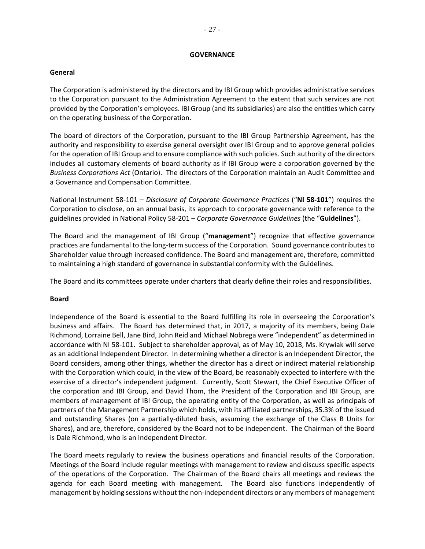#### **GOVERNANCE**

#### **General**

The Corporation is administered by the directors and by IBI Group which provides administrative services to the Corporation pursuant to the Administration Agreement to the extent that such services are not provided by the Corporation's employees. IBI Group (and its subsidiaries) are also the entities which carry on the operating business of the Corporation.

The board of directors of the Corporation, pursuant to the IBI Group Partnership Agreement, has the authority and responsibility to exercise general oversight over IBI Group and to approve general policies for the operation of IBI Group and to ensure compliance with such policies. Such authority of the directors includes all customary elements of board authority as if IBI Group were a corporation governed by the *Business Corporations Act* (Ontario). The directors of the Corporation maintain an Audit Committee and a Governance and Compensation Committee.

National Instrument 58-101 – *Disclosure of Corporate Governance Practices* ("**NI 58-101**") requires the Corporation to disclose, on an annual basis, its approach to corporate governance with reference to the guidelines provided in National Policy 58-201 – *Corporate Governance Guidelines* (the "**Guidelines**").

The Board and the management of IBI Group ("**management**") recognize that effective governance practices are fundamental to the long-term success of the Corporation. Sound governance contributes to Shareholder value through increased confidence. The Board and management are, therefore, committed to maintaining a high standard of governance in substantial conformity with the Guidelines.

The Board and its committees operate under charters that clearly define their roles and responsibilities.

# **Board**

Independence of the Board is essential to the Board fulfilling its role in overseeing the Corporation's business and affairs. The Board has determined that, in 2017, a majority of its members, being Dale Richmond, Lorraine Bell, Jane Bird, John Reid and Michael Nobrega were "independent" as determined in accordance with NI 58-101. Subject to shareholder approval, as of May 10, 2018, Ms. Krywiak will serve as an additional Independent Director. In determining whether a director is an Independent Director, the Board considers, among other things, whether the director has a direct or indirect material relationship with the Corporation which could, in the view of the Board, be reasonably expected to interfere with the exercise of a director's independent judgment. Currently, Scott Stewart, the Chief Executive Officer of the corporation and IBI Group, and David Thom, the President of the Corporation and IBI Group, are members of management of IBI Group, the operating entity of the Corporation, as well as principals of partners of the Management Partnership which holds, with its affiliated partnerships, 35.3% of the issued and outstanding Shares (on a partially-diluted basis, assuming the exchange of the Class B Units for Shares), and are, therefore, considered by the Board not to be independent. The Chairman of the Board is Dale Richmond, who is an Independent Director.

The Board meets regularly to review the business operations and financial results of the Corporation. Meetings of the Board include regular meetings with management to review and discuss specific aspects of the operations of the Corporation. The Chairman of the Board chairs all meetings and reviews the agenda for each Board meeting with management. The Board also functions independently of management by holding sessions without the non-independent directors or any members of management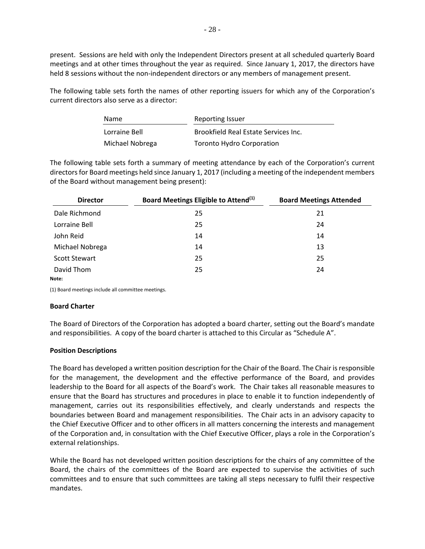present. Sessions are held with only the Independent Directors present at all scheduled quarterly Board meetings and at other times throughout the year as required. Since January 1, 2017, the directors have held 8 sessions without the non-independent directors or any members of management present.

The following table sets forth the names of other reporting issuers for which any of the Corporation's current directors also serve as a director:

| Name            | Reporting Issuer                     |
|-----------------|--------------------------------------|
| Lorraine Bell   | Brookfield Real Estate Services Inc. |
| Michael Nobrega | <b>Toronto Hydro Corporation</b>     |

The following table sets forth a summary of meeting attendance by each of the Corporation's current directors for Board meetings held since January 1, 2017 (including a meeting of the independent members of the Board without management being present):

| <b>Director</b>      | Board Meetings Eligible to Attend <sup>(1)</sup> | <b>Board Meetings Attended</b> |
|----------------------|--------------------------------------------------|--------------------------------|
| Dale Richmond        | 25                                               | 21                             |
| Lorraine Bell        | 25                                               | 24                             |
| John Reid            | 14                                               | 14                             |
| Michael Nobrega      | 14                                               | 13                             |
| <b>Scott Stewart</b> | 25                                               | 25                             |
| David Thom           | 25                                               | 24                             |
| Note:                |                                                  |                                |

(1) Board meetings include all committee meetings.

#### **Board Charter**

The Board of Directors of the Corporation has adopted a board charter, setting out the Board's mandate and responsibilities. A copy of the board charter is attached to this Circular as "Schedule A".

#### **Position Descriptions**

The Board has developed a written position description for the Chair of the Board. The Chair is responsible for the management, the development and the effective performance of the Board, and provides leadership to the Board for all aspects of the Board's work. The Chair takes all reasonable measures to ensure that the Board has structures and procedures in place to enable it to function independently of management, carries out its responsibilities effectively, and clearly understands and respects the boundaries between Board and management responsibilities. The Chair acts in an advisory capacity to the Chief Executive Officer and to other officers in all matters concerning the interests and management of the Corporation and, in consultation with the Chief Executive Officer, plays a role in the Corporation's external relationships.

While the Board has not developed written position descriptions for the chairs of any committee of the Board, the chairs of the committees of the Board are expected to supervise the activities of such committees and to ensure that such committees are taking all steps necessary to fulfil their respective mandates.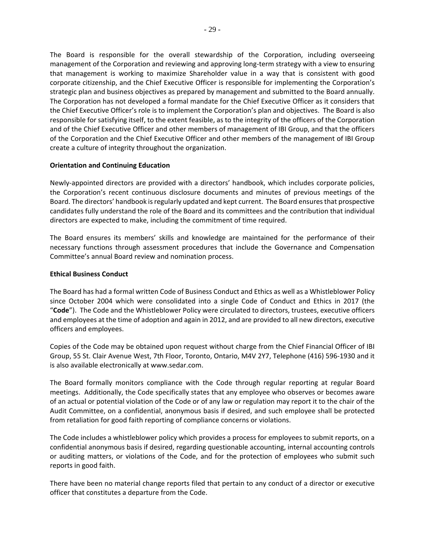The Board is responsible for the overall stewardship of the Corporation, including overseeing management of the Corporation and reviewing and approving long-term strategy with a view to ensuring that management is working to maximize Shareholder value in a way that is consistent with good corporate citizenship, and the Chief Executive Officer is responsible for implementing the Corporation's strategic plan and business objectives as prepared by management and submitted to the Board annually. The Corporation has not developed a formal mandate for the Chief Executive Officer as it considers that the Chief Executive Officer's role is to implement the Corporation's plan and objectives. The Board is also responsible for satisfying itself, to the extent feasible, as to the integrity of the officers of the Corporation and of the Chief Executive Officer and other members of management of IBI Group, and that the officers of the Corporation and the Chief Executive Officer and other members of the management of IBI Group create a culture of integrity throughout the organization.

#### **Orientation and Continuing Education**

Newly-appointed directors are provided with a directors' handbook, which includes corporate policies, the Corporation's recent continuous disclosure documents and minutes of previous meetings of the Board. The directors' handbook is regularly updated and kept current. The Board ensures that prospective candidates fully understand the role of the Board and its committees and the contribution that individual directors are expected to make, including the commitment of time required.

The Board ensures its members' skills and knowledge are maintained for the performance of their necessary functions through assessment procedures that include the Governance and Compensation Committee's annual Board review and nomination process.

#### **Ethical Business Conduct**

The Board has had a formal written Code of Business Conduct and Ethics as well as a Whistleblower Policy since October 2004 which were consolidated into a single Code of Conduct and Ethics in 2017 (the "**Code**"). The Code and the Whistleblower Policy were circulated to directors, trustees, executive officers and employees at the time of adoption and again in 2012, and are provided to all new directors, executive officers and employees.

Copies of the Code may be obtained upon request without charge from the Chief Financial Officer of IBI Group, 55 St. Clair Avenue West, 7th Floor, Toronto, Ontario, M4V 2Y7, Telephone (416) 596-1930 and it is also available electronically at www.sedar.com.

The Board formally monitors compliance with the Code through regular reporting at regular Board meetings. Additionally, the Code specifically states that any employee who observes or becomes aware of an actual or potential violation of the Code or of any law or regulation may report it to the chair of the Audit Committee, on a confidential, anonymous basis if desired, and such employee shall be protected from retaliation for good faith reporting of compliance concerns or violations.

The Code includes a whistleblower policy which provides a process for employees to submit reports, on a confidential anonymous basis if desired, regarding questionable accounting, internal accounting controls or auditing matters, or violations of the Code, and for the protection of employees who submit such reports in good faith.

There have been no material change reports filed that pertain to any conduct of a director or executive officer that constitutes a departure from the Code.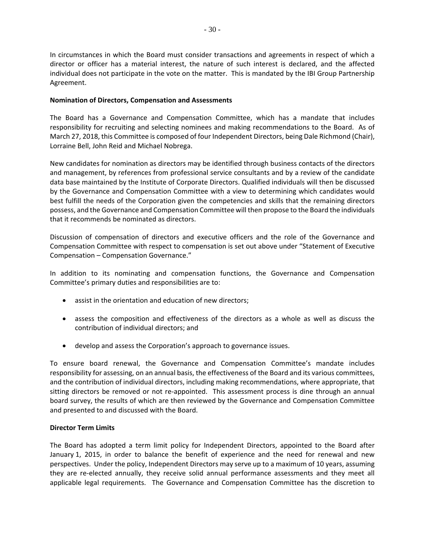In circumstances in which the Board must consider transactions and agreements in respect of which a director or officer has a material interest, the nature of such interest is declared, and the affected individual does not participate in the vote on the matter. This is mandated by the IBI Group Partnership Agreement.

# **Nomination of Directors, Compensation and Assessments**

The Board has a Governance and Compensation Committee, which has a mandate that includes responsibility for recruiting and selecting nominees and making recommendations to the Board. As of March 27, 2018, this Committee is composed of four Independent Directors, being Dale Richmond (Chair), Lorraine Bell, John Reid and Michael Nobrega.

New candidates for nomination as directors may be identified through business contacts of the directors and management, by references from professional service consultants and by a review of the candidate data base maintained by the Institute of Corporate Directors. Qualified individuals will then be discussed by the Governance and Compensation Committee with a view to determining which candidates would best fulfill the needs of the Corporation given the competencies and skills that the remaining directors possess, and the Governance and Compensation Committee will then propose to the Board the individuals that it recommends be nominated as directors.

Discussion of compensation of directors and executive officers and the role of the Governance and Compensation Committee with respect to compensation is set out above under "Statement of Executive Compensation – Compensation Governance."

In addition to its nominating and compensation functions, the Governance and Compensation Committee's primary duties and responsibilities are to:

- assist in the orientation and education of new directors;
- assess the composition and effectiveness of the directors as a whole as well as discuss the contribution of individual directors; and
- develop and assess the Corporation's approach to governance issues.

To ensure board renewal, the Governance and Compensation Committee's mandate includes responsibility for assessing, on an annual basis, the effectiveness of the Board and its various committees, and the contribution of individual directors, including making recommendations, where appropriate, that sitting directors be removed or not re-appointed. This assessment process is dine through an annual board survey, the results of which are then reviewed by the Governance and Compensation Committee and presented to and discussed with the Board.

#### **Director Term Limits**

The Board has adopted a term limit policy for Independent Directors, appointed to the Board after January 1, 2015, in order to balance the benefit of experience and the need for renewal and new perspectives. Under the policy, Independent Directors may serve up to a maximum of 10 years, assuming they are re-elected annually, they receive solid annual performance assessments and they meet all applicable legal requirements. The Governance and Compensation Committee has the discretion to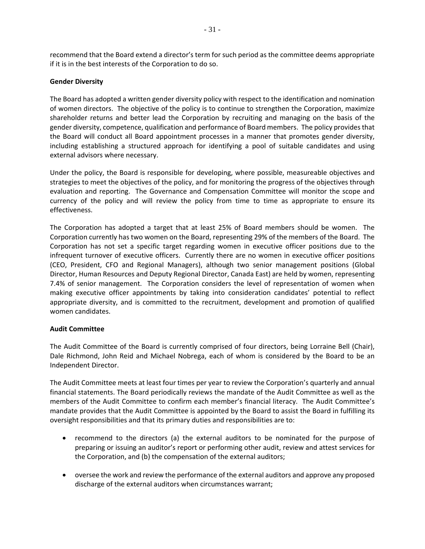recommend that the Board extend a director's term for such period as the committee deems appropriate if it is in the best interests of the Corporation to do so.

# **Gender Diversity**

The Board has adopted a written gender diversity policy with respect to the identification and nomination of women directors. The objective of the policy is to continue to strengthen the Corporation, maximize shareholder returns and better lead the Corporation by recruiting and managing on the basis of the gender diversity, competence, qualification and performance of Board members. The policy provides that the Board will conduct all Board appointment processes in a manner that promotes gender diversity, including establishing a structured approach for identifying a pool of suitable candidates and using external advisors where necessary.

Under the policy, the Board is responsible for developing, where possible, measureable objectives and strategies to meet the objectives of the policy, and for monitoring the progress of the objectives through evaluation and reporting. The Governance and Compensation Committee will monitor the scope and currency of the policy and will review the policy from time to time as appropriate to ensure its effectiveness.

The Corporation has adopted a target that at least 25% of Board members should be women. The Corporation currently has two women on the Board, representing 29% of the members of the Board. The Corporation has not set a specific target regarding women in executive officer positions due to the infrequent turnover of executive officers. Currently there are no women in executive officer positions (CEO, President, CFO and Regional Managers), although two senior management positions (Global Director, Human Resources and Deputy Regional Director, Canada East) are held by women, representing 7.4% of senior management. The Corporation considers the level of representation of women when making executive officer appointments by taking into consideration candidates' potential to reflect appropriate diversity, and is committed to the recruitment, development and promotion of qualified women candidates.

# **Audit Committee**

The Audit Committee of the Board is currently comprised of four directors, being Lorraine Bell (Chair), Dale Richmond, John Reid and Michael Nobrega, each of whom is considered by the Board to be an Independent Director.

The Audit Committee meets at least four times per year to review the Corporation's quarterly and annual financial statements. The Board periodically reviews the mandate of the Audit Committee as well as the members of the Audit Committee to confirm each member's financial literacy. The Audit Committee's mandate provides that the Audit Committee is appointed by the Board to assist the Board in fulfilling its oversight responsibilities and that its primary duties and responsibilities are to:

- recommend to the directors (a) the external auditors to be nominated for the purpose of preparing or issuing an auditor's report or performing other audit, review and attest services for the Corporation, and (b) the compensation of the external auditors;
- oversee the work and review the performance of the external auditors and approve any proposed discharge of the external auditors when circumstances warrant;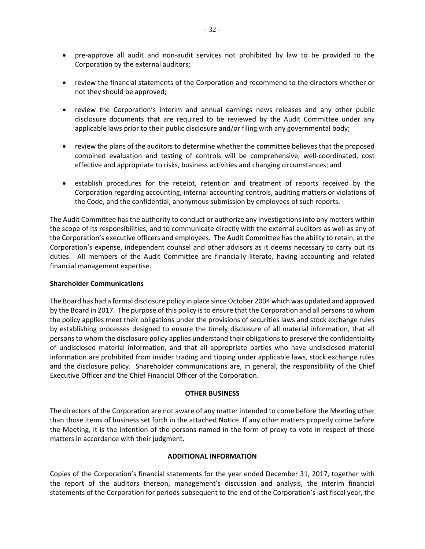- pre-approve all audit and non-audit services not prohibited by law to be provided to the Corporation by the external auditors;
- review the financial statements of the Corporation and recommend to the directors whether or not they should be approved;
- review the Corporation's interim and annual earnings news releases and any other public disclosure documents that are required to be reviewed by the Audit Committee under any applicable laws prior to their public disclosure and/or filing with any governmental body;
- review the plans of the auditors to determine whether the committee believes that the proposed combined evaluation and testing of controls will be comprehensive, well-coordinated, cost effective and appropriate to risks, business activities and changing circumstances; and
- establish procedures for the receipt, retention and treatment of reports received by the Corporation regarding accounting, internal accounting controls, auditing matters or violations of the Code, and the confidential, anonymous submission by employees of such reports.

The Audit Committee has the authority to conduct or authorize any investigations into any matters within the scope of its responsibilities, and to communicate directly with the external auditors as well as any of the Corporation's executive officers and employees. The Audit Committee has the ability to retain, at the Corporation's expense, independent counsel and other advisors as it deems necessary to carry out its duties. All members of the Audit Committee are financially literate, having accounting and related financial management expertise.

# **Shareholder Communications**

The Board has had a formal disclosure policy in place since October 2004 which was updated and approved by the Board in 2017. The purpose of this policy is to ensure that the Corporation and all persons to whom the policy applies meet their obligations under the provisions of securities laws and stock exchange rules by establishing processes designed to ensure the timely disclosure of all material information, that all persons to whom the disclosure policy applies understand their obligations to preserve the confidentiality of undisclosed material information, and that all appropriate parties who have undisclosed material information are prohibited from insider trading and tipping under applicable laws, stock exchange rules and the disclosure policy. Shareholder communications are, in general, the responsibility of the Chief Executive Officer and the Chief Financial Officer of the Corporation.

#### **OTHER BUSINESS**

The directors of the Corporation are not aware of any matter intended to come before the Meeting other than those items of business set forth in the attached Notice. If any other matters properly come before the Meeting, it is the intention of the persons named in the form of proxy to vote in respect of those matters in accordance with their judgment.

# **ADDITIONAL INFORMATION**

Copies of the Corporation's financial statements for the year ended December 31, 2017, together with the report of the auditors thereon, management's discussion and analysis, the interim financial statements of the Corporation for periods subsequent to the end of the Corporation's last fiscal year, the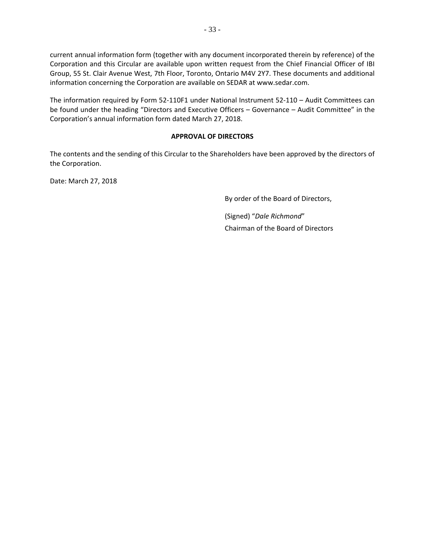current annual information form (together with any document incorporated therein by reference) of the Corporation and this Circular are available upon written request from the Chief Financial Officer of IBI Group, 55 St. Clair Avenue West, 7th Floor, Toronto, Ontario M4V 2Y7. These documents and additional information concerning the Corporation are available on SEDAR at www.sedar.com.

The information required by Form 52-110F1 under National Instrument 52-110 – Audit Committees can be found under the heading "Directors and Executive Officers – Governance – Audit Committee" in the Corporation's annual information form dated March 27, 2018.

# **APPROVAL OF DIRECTORS**

The contents and the sending of this Circular to the Shareholders have been approved by the directors of the Corporation.

Date: March 27, 2018

By order of the Board of Directors,

(Signed) "*Dale Richmond*" Chairman of the Board of Directors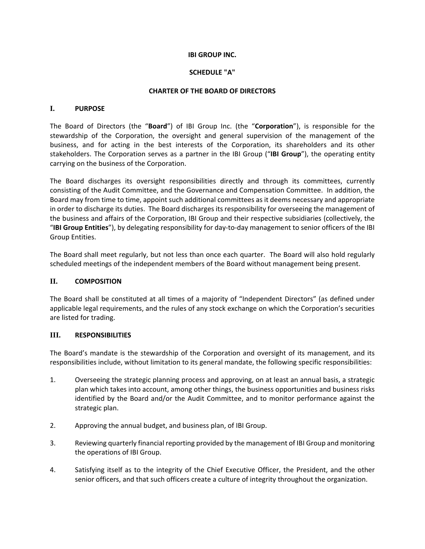# **IBI GROUP INC.**

# **SCHEDULE "A"**

#### **CHARTER OF THE BOARD OF DIRECTORS**

#### **I. PURPOSE**

The Board of Directors (the "**Board**") of IBI Group Inc. (the "**Corporation**"), is responsible for the stewardship of the Corporation, the oversight and general supervision of the management of the business, and for acting in the best interests of the Corporation, its shareholders and its other stakeholders. The Corporation serves as a partner in the IBI Group ("**IBI Group**"), the operating entity carrying on the business of the Corporation.

The Board discharges its oversight responsibilities directly and through its committees, currently consisting of the Audit Committee, and the Governance and Compensation Committee. In addition, the Board may from time to time, appoint such additional committees as it deems necessary and appropriate in order to discharge its duties. The Board discharges its responsibility for overseeing the management of the business and affairs of the Corporation, IBI Group and their respective subsidiaries (collectively, the "**IBI Group Entities**"), by delegating responsibility for day-to-day management to senior officers of the IBI Group Entities.

The Board shall meet regularly, but not less than once each quarter. The Board will also hold regularly scheduled meetings of the independent members of the Board without management being present.

# **II. COMPOSITION**

The Board shall be constituted at all times of a majority of "Independent Directors" (as defined under applicable legal requirements, and the rules of any stock exchange on which the Corporation's securities are listed for trading.

# **III. RESPONSIBILITIES**

The Board's mandate is the stewardship of the Corporation and oversight of its management, and its responsibilities include, without limitation to its general mandate, the following specific responsibilities:

- 1. Overseeing the strategic planning process and approving, on at least an annual basis, a strategic plan which takes into account, among other things, the business opportunities and business risks identified by the Board and/or the Audit Committee, and to monitor performance against the strategic plan.
- 2. Approving the annual budget, and business plan, of IBI Group.
- 3. Reviewing quarterly financial reporting provided by the management of IBI Group and monitoring the operations of IBI Group.
- 4. Satisfying itself as to the integrity of the Chief Executive Officer, the President, and the other senior officers, and that such officers create a culture of integrity throughout the organization.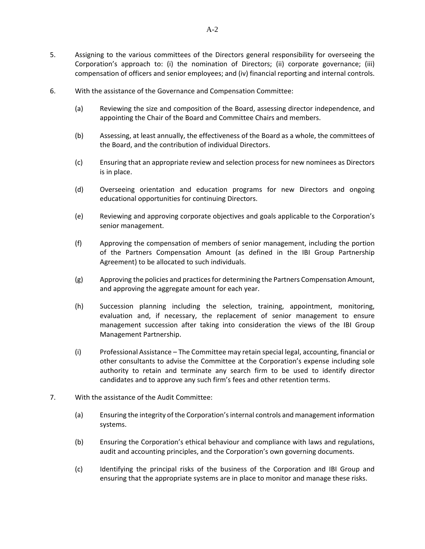- 5. Assigning to the various committees of the Directors general responsibility for overseeing the Corporation's approach to: (i) the nomination of Directors; (ii) corporate governance; (iii) compensation of officers and senior employees; and (iv) financial reporting and internal controls.
- 6. With the assistance of the Governance and Compensation Committee:
	- (a) Reviewing the size and composition of the Board, assessing director independence, and appointing the Chair of the Board and Committee Chairs and members.
	- (b) Assessing, at least annually, the effectiveness of the Board as a whole, the committees of the Board, and the contribution of individual Directors.
	- (c) Ensuring that an appropriate review and selection process for new nominees as Directors is in place.
	- (d) Overseeing orientation and education programs for new Directors and ongoing educational opportunities for continuing Directors.
	- (e) Reviewing and approving corporate objectives and goals applicable to the Corporation's senior management.
	- (f) Approving the compensation of members of senior management, including the portion of the Partners Compensation Amount (as defined in the IBI Group Partnership Agreement) to be allocated to such individuals.
	- (g) Approving the policies and practices for determining the Partners Compensation Amount, and approving the aggregate amount for each year.
	- (h) Succession planning including the selection, training, appointment, monitoring, evaluation and, if necessary, the replacement of senior management to ensure management succession after taking into consideration the views of the IBI Group Management Partnership.
	- (i) Professional Assistance The Committee may retain special legal, accounting, financial or other consultants to advise the Committee at the Corporation's expense including sole authority to retain and terminate any search firm to be used to identify director candidates and to approve any such firm's fees and other retention terms.
- 7. With the assistance of the Audit Committee:
	- (a) Ensuring the integrity of the Corporation's internal controls and management information systems.
	- (b) Ensuring the Corporation's ethical behaviour and compliance with laws and regulations, audit and accounting principles, and the Corporation's own governing documents.
	- (c) Identifying the principal risks of the business of the Corporation and IBI Group and ensuring that the appropriate systems are in place to monitor and manage these risks.